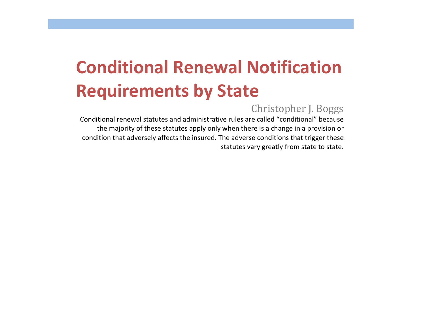## Christopher J. Boggs

Conditional renewal statutes and administrative rules are called "conditional" because the majority of these statutes apply only when there is a change in a provision or condition that adversely affects the insured. The adverse conditions that trigger these statutes vary greatly from state to state.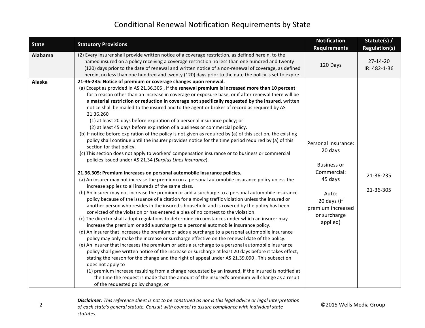| <b>State</b> | <b>Statutory Provisions</b>                                                                                                                                                                                                                                                                                                                                                                                                                                                                                                                                                                                                                                                                                                                                                                                                                                                                                                                                                                                                                                                                                                                                                                                                                                                                                                                                                                                                                                                                                                                                                                                                                                                                                                                                                                                                                                                                                                                                                                                                                                                                                                                                                                                                                                                                                                                                                                                                                                                                                                                                                                                                                                                                | <b>Notification</b><br><b>Requirements</b>                                                                                                              | Statute(s) /<br><b>Regulation(s)</b> |
|--------------|--------------------------------------------------------------------------------------------------------------------------------------------------------------------------------------------------------------------------------------------------------------------------------------------------------------------------------------------------------------------------------------------------------------------------------------------------------------------------------------------------------------------------------------------------------------------------------------------------------------------------------------------------------------------------------------------------------------------------------------------------------------------------------------------------------------------------------------------------------------------------------------------------------------------------------------------------------------------------------------------------------------------------------------------------------------------------------------------------------------------------------------------------------------------------------------------------------------------------------------------------------------------------------------------------------------------------------------------------------------------------------------------------------------------------------------------------------------------------------------------------------------------------------------------------------------------------------------------------------------------------------------------------------------------------------------------------------------------------------------------------------------------------------------------------------------------------------------------------------------------------------------------------------------------------------------------------------------------------------------------------------------------------------------------------------------------------------------------------------------------------------------------------------------------------------------------------------------------------------------------------------------------------------------------------------------------------------------------------------------------------------------------------------------------------------------------------------------------------------------------------------------------------------------------------------------------------------------------------------------------------------------------------------------------------------------------|---------------------------------------------------------------------------------------------------------------------------------------------------------|--------------------------------------|
| Alabama      | (2) Every insurer shall provide written notice of a coverage restriction, as defined herein, to the<br>named insured on a policy receiving a coverage restriction no less than one hundred and twenty<br>(120) days prior to the date of renewal and written notice of a non-renewal of coverage, as defined<br>herein, no less than one hundred and twenty (120) days prior to the date the policy is set to expire.                                                                                                                                                                                                                                                                                                                                                                                                                                                                                                                                                                                                                                                                                                                                                                                                                                                                                                                                                                                                                                                                                                                                                                                                                                                                                                                                                                                                                                                                                                                                                                                                                                                                                                                                                                                                                                                                                                                                                                                                                                                                                                                                                                                                                                                                      | 120 Days                                                                                                                                                | $27 - 14 - 20$<br>IR: 482-1-36       |
| Alaska       | 21-36-235: Notice of premium or coverage changes upon renewal.<br>(a) Except as provided in AS 21.36.305, if the renewal premium is increased more than 10 percent<br>for a reason other than an increase in coverage or exposure base, or if after renewal there will be<br>a material restriction or reduction in coverage not specifically requested by the insured, written<br>notice shall be mailed to the insured and to the agent or broker of record as required by AS<br>21.36.260<br>(1) at least 20 days before expiration of a personal insurance policy; or<br>(2) at least 45 days before expiration of a business or commercial policy.<br>(b) If notice before expiration of the policy is not given as required by (a) of this section, the existing<br>policy shall continue until the insurer provides notice for the time period required by (a) of this<br>section for that policy.<br>(c) This section does not apply to workers' compensation insurance or to business or commercial<br>policies issued under AS 21.34 (Surplus Lines Insurance).<br>21.36.305: Premium increases on personal automobile insurance policies.<br>(a) An insurer may not increase the premium on a personal automobile insurance policy unless the<br>increase applies to all insureds of the same class.<br>(b) An insurer may not increase the premium or add a surcharge to a personal automobile insurance<br>policy because of the issuance of a citation for a moving traffic violation unless the insured or<br>another person who resides in the insured's household and is covered by the policy has been<br>convicted of the violation or has entered a plea of no contest to the violation.<br>(c) The director shall adopt regulations to determine circumstances under which an insurer may<br>increase the premium or add a surcharge to a personal automobile insurance policy.<br>(d) An insurer that increases the premium or adds a surcharge to a personal automobile insurance<br>policy may only make the increase or surcharge effective on the renewal date of the policy.<br>(e) An insurer that increases the premium or adds a surcharge to a personal automobile insurance<br>policy shall give written notice of the increase or surcharge at least 20 days before it takes effect,<br>stating the reason for the change and the right of appeal under AS 21.39.090 . This subsection<br>does not apply to<br>(1) premium increase resulting from a change requested by an insured, if the insured is notified at<br>the time the request is made that the amount of the insured's premium will change as a result<br>of the requested policy change; or | Personal Insurance:<br>20 days<br><b>Business or</b><br>Commercial:<br>45 days<br>Auto:<br>20 days (if<br>premium increased<br>or surcharge<br>applied) | 21-36-235<br>21-36-305               |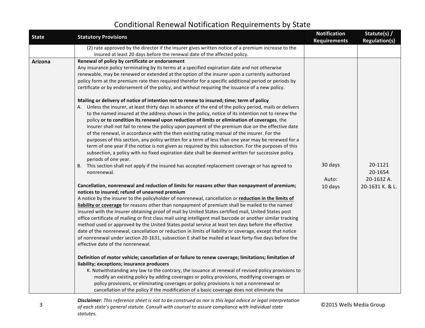| <b>State</b> | <b>Statutory Provisions</b>                                                                                  | <b>Notification</b><br><b>Requirements</b> | Statute(s) /<br><b>Regulation(s)</b> |
|--------------|--------------------------------------------------------------------------------------------------------------|--------------------------------------------|--------------------------------------|
|              | (2) rate approved by the director if the insurer gives written notice of a premium increase to the           |                                            |                                      |
|              | insured at least 20 days before the renewal date of the affected policy.                                     |                                            |                                      |
| Arizona      | Renewal of policy by certificate or endorsement                                                              |                                            |                                      |
|              | Any insurance policy terminating by its terms at a specified expiration date and not otherwise               |                                            |                                      |
|              | renewable, may be renewed or extended at the option of the insurer upon a currently authorized               |                                            |                                      |
|              | policy form at the premium rate then required therefor for a specific additional period or periods by        |                                            |                                      |
|              | certificate or by endorsement of the policy, and without requiring the issuance of a new policy.             |                                            |                                      |
|              | Mailing or delivery of notice of intention not to renew to insured; time; term of policy                     |                                            |                                      |
|              | A. Unless the insurer, at least thirty days in advance of the end of the policy period, mails or delivers    |                                            |                                      |
|              | to the named insured at the address shown in the policy, notice of its intention not to renew the            |                                            |                                      |
|              | policy or to condition its renewal upon reduction of limits or elimination of coverages, the                 |                                            |                                      |
|              | insurer shall not fail to renew the policy upon payment of the premium due on the effective date             |                                            |                                      |
|              | of the renewal, in accordance with the then existing rating manual of the insurer. For the                   |                                            |                                      |
|              | purposes of this section, any policy written for a term of less than one year may be renewed for a           |                                            |                                      |
|              | term of one year if the notice is not given as required by this subsection. For the purposes of this         |                                            |                                      |
|              | subsection, a policy with no fixed expiration date shall be deemed written for successive policy             |                                            |                                      |
|              | periods of one year.                                                                                         |                                            |                                      |
|              | B. This section shall not apply if the insured has accepted replacement coverage or has agreed to            | 30 days                                    | 20-1121                              |
|              | nonrenewal.                                                                                                  |                                            | 20-1654                              |
|              |                                                                                                              | Auto:                                      | 20-1632 A.                           |
|              | Cancellation, nonrenewal and reduction of limits for reasons other than nonpayment of premium;               | 10 days                                    | 20-1631 K. & L.                      |
|              | notices to insured; refund of unearned premium                                                               |                                            |                                      |
|              | A notice by the insurer to the policyholder of nonrenewal, cancellation or reduction in the limits of        |                                            |                                      |
|              | liability or coverage for reasons other than nonpayment of premium shall be mailed to the named              |                                            |                                      |
|              | insured with the insurer obtaining proof of mail by United States certified mail, United States post         |                                            |                                      |
|              | office certificate of mailing or first class mail using intelligent mail barcode or another similar tracking |                                            |                                      |
|              | method used or approved by the United States postal service at least ten days before the effective           |                                            |                                      |
|              | date of the nonrenewal, cancellation or reduction in limits of liability or coverage, except that notice     |                                            |                                      |
|              | of nonrenewal under section 20-1631, subsection E shall be mailed at least forty-five days before the        |                                            |                                      |
|              | effective date of the nonrenewal.                                                                            |                                            |                                      |
|              | Definition of motor vehicle; cancellation of or failure to renew coverage; limitations; limitation of        |                                            |                                      |
|              | liability; exceptions; insurance producers                                                                   |                                            |                                      |
|              | K. Notwithstanding any law to the contrary, the issuance at renewal of revised policy provisions to          |                                            |                                      |
|              | modify an existing policy by adding coverages or policy provisions, modifying coverages or                   |                                            |                                      |
|              | policy provisions, or eliminating coverages or policy provisions is not a nonrenewal or                      |                                            |                                      |
|              | cancellation of the policy if the modification of a basic coverage does not eliminate the                    |                                            |                                      |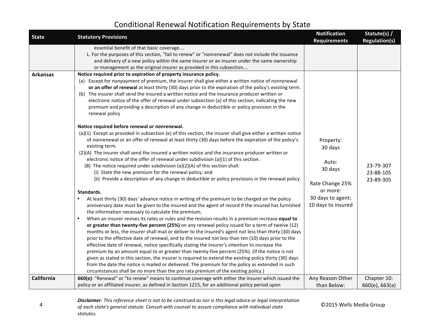| <b>State</b>    | <b>Statutory Provisions</b>                                                                                                                                                                                                                                                                                                                                                                                                                                                                                                                                                                                                                                                                                                                                                                                                                                                                                                                                                                                                                                                                                                                                                                                   | <b>Notification</b>                                         | Statute(s) /                        |
|-----------------|---------------------------------------------------------------------------------------------------------------------------------------------------------------------------------------------------------------------------------------------------------------------------------------------------------------------------------------------------------------------------------------------------------------------------------------------------------------------------------------------------------------------------------------------------------------------------------------------------------------------------------------------------------------------------------------------------------------------------------------------------------------------------------------------------------------------------------------------------------------------------------------------------------------------------------------------------------------------------------------------------------------------------------------------------------------------------------------------------------------------------------------------------------------------------------------------------------------|-------------------------------------------------------------|-------------------------------------|
| <b>Arkansas</b> | essential benefit of that basic coverage<br>L. For the purposes of this section, "fail to renew" or "nonrenewal" does not include the issuance<br>and delivery of a new policy within the same insurer or an insurer under the same ownership<br>or management as the original insurer as provided in this subsection<br>Notice required prior to expiration of property insurance policy.<br>(a) Except for nonpayment of premium, the insurer shall give either a written notice of nonrenewal<br>or an offer of renewal at least thirty (30) days prior to the expiration of the policy's existing term.<br>(b) The insurer shall send the insured a written notice and the insurance producer written or<br>electronic notice of the offer of renewal under subsection (a) of this section, indicating the new<br>premium and providing a description of any change in deductible or policy provision in the<br>renewal policy<br>Notice required before renewal or nonrenewal.<br>(a)(1) Except as provided in subsection (e) of this section, the insurer shall give either a written notice                                                                                                            | <b>Requirements</b>                                         | <b>Regulation(s)</b>                |
|                 | of nonrenewal or an offer of renewal at least thirty (30) days before the expiration of the policy's<br>existing term.<br>(2)(A) The insurer shall send the insured a written notice and the insurance producer written or<br>electronic notice of the offer of renewal under subdivision (a)(1) of this section.<br>(B) The notice required under subdivision (a)(2)(A) of this section shall:<br>(i) State the new premium for the renewal policy; and<br>(ii) Provide a description of any change in deductible or policy provisions in the renewal policy.                                                                                                                                                                                                                                                                                                                                                                                                                                                                                                                                                                                                                                                | Property:<br>30 days<br>Auto:<br>30 days<br>Rate Change 25% | 23-79-307<br>23-88-105<br>23-89-305 |
|                 | Standards.<br>At least thirty (30) days' advance notice in writing of the premium to be charged on the policy<br>anniversary date must be given to the insured and the agent of record if the insured has furnished<br>the information necessary to calculate the premium;<br>When an insurer revises its rates or rules and the revision results in a premium increase equal to<br>or greater than twenty-five percent (25%) on any renewal policy issued for a term of twelve (12)<br>months or less, the insurer shall mail or deliver to the insured's agent not less than thirty (30) days<br>prior to the effective date of renewal, and to the insured not less than ten (10) days prior to the<br>effective date of renewal, notice specifically stating the insurer's intention to increase the<br>premium by an amount equal to or greater than twenty-five percent (25%). (If the notice is not<br>given as stated in this section, the insurer is required to extend the existing policy thirty (30) days<br>from the date the notice is mailed or delivered. The premium for the policy as extended in such<br>circumstances shall be no more than the pro rata premium of the existing policy.) | or more:<br>30 days to agent;<br>10 days to insured         |                                     |
| California      | 660(e): "Renewal" or "to renew" means to continue coverage with either the insurer which issued the<br>policy or an affiliated insurer, as defined in Section 1215, for an additional policy period upon                                                                                                                                                                                                                                                                                                                                                                                                                                                                                                                                                                                                                                                                                                                                                                                                                                                                                                                                                                                                      | Any Reason Other<br>than Below:                             | Chapter 10:<br>660(e), 663(a)       |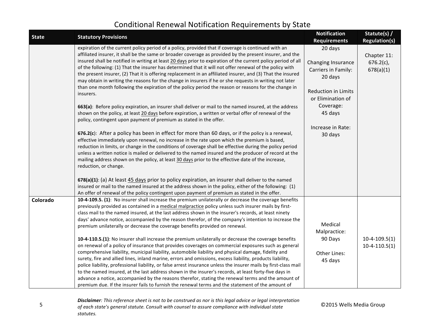| <b>State</b> | <b>Statutory Provisions</b>                                                                                                                                                                                                                                                                                                                                                                                                                                                                                                                                                                                                                                                                                                                                                                                                                                                                                                                                                                                                                                                                                                                                                                                                                                                                                                                                                                                                                                                                                                                                                                                                                  | <b>Notification</b>                                                                                                                                                                               | Statute(s) /                                                     |
|--------------|----------------------------------------------------------------------------------------------------------------------------------------------------------------------------------------------------------------------------------------------------------------------------------------------------------------------------------------------------------------------------------------------------------------------------------------------------------------------------------------------------------------------------------------------------------------------------------------------------------------------------------------------------------------------------------------------------------------------------------------------------------------------------------------------------------------------------------------------------------------------------------------------------------------------------------------------------------------------------------------------------------------------------------------------------------------------------------------------------------------------------------------------------------------------------------------------------------------------------------------------------------------------------------------------------------------------------------------------------------------------------------------------------------------------------------------------------------------------------------------------------------------------------------------------------------------------------------------------------------------------------------------------|---------------------------------------------------------------------------------------------------------------------------------------------------------------------------------------------------|------------------------------------------------------------------|
|              | expiration of the current policy period of a policy, provided that if coverage is continued with an<br>affiliated insurer, it shall be the same or broader coverage as provided by the present insurer, and the<br>insured shall be notified in writing at least 20 days prior to expiration of the current policy period of all<br>of the following: (1) That the insurer has determined that it will not offer renewal of the policy with<br>the present insurer, (2) That it is offering replacement in an affiliated insurer, and (3) That the insured<br>may obtain in writing the reasons for the change in insurers if he or she requests in writing not later<br>than one month following the expiration of the policy period the reason or reasons for the change in<br>insurers.<br>663(a): Before policy expiration, an insurer shall deliver or mail to the named insured, at the address<br>shown on the policy, at least 20 days before expiration, a written or verbal offer of renewal of the<br>policy, contingent upon payment of premium as stated in the offer.<br>676.2(c): After a policy has been in effect for more than 60 days, or if the policy is a renewal,<br>effective immediately upon renewal, no increase in the rate upon which the premium is based,<br>reduction in limits, or change in the conditions of coverage shall be effective during the policy period<br>unless a written notice is mailed or delivered to the named insured and the producer of record at the<br>mailing address shown on the policy, at least 30 days prior to the effective date of the increase,<br>reduction, or change. | <b>Requirements</b><br>20 days<br>Changing Insurance<br>Carriers in Family:<br>20 days<br><b>Reduction in Limits</b><br>or Elimination of<br>Coverage:<br>45 days<br>Increase in Rate:<br>30 days | <b>Regulation(s)</b><br>Chapter 11:<br>$676.2(c)$ ,<br>678(a)(1) |
|              | 678(a)(1): (a) At least 45 days prior to policy expiration, an insurer shall deliver to the named<br>insured or mail to the named insured at the address shown in the policy, either of the following: (1)<br>An offer of renewal of the policy contingent upon payment of premium as stated in the offer.                                                                                                                                                                                                                                                                                                                                                                                                                                                                                                                                                                                                                                                                                                                                                                                                                                                                                                                                                                                                                                                                                                                                                                                                                                                                                                                                   |                                                                                                                                                                                                   |                                                                  |
| Colorado     | 10-4-109.5. (1): No insurer shall increase the premium unilaterally or decrease the coverage benefits<br>previously provided as contained in a medical malpractice policy unless such insurer mails by first-<br>class mail to the named insured, at the last address shown in the insurer's records, at least ninety<br>days' advance notice, accompanied by the reason therefor, of the company's intention to increase the<br>premium unilaterally or decrease the coverage benefits provided on renewal.<br>10-4-110.5.(1): No insurer shall increase the premium unilaterally or decrease the coverage benefits<br>on renewal of a policy of insurance that provides coverages on commercial exposures such as general<br>comprehensive liability, municipal liability, automobile liability and physical damage, fidelity and<br>surety, fire and allied lines, inland marine, errors and omissions, excess liability, products liability,<br>police liability, professional liability, or false arrest insurance unless the insurer mails by first-class mail<br>to the named insured, at the last address shown in the insurer's records, at least forty-five days in<br>advance a notice, accompanied by the reasons therefor, stating the renewal terms and the amount of<br>premium due. If the insurer fails to furnish the renewal terms and the statement of the amount of                                                                                                                                                                                                                                                     | Medical<br>Malpractice:<br>90 Days<br>Other Lines:<br>45 days                                                                                                                                     | $10-4-109.5(1)$<br>$10-4-110.5(1)$                               |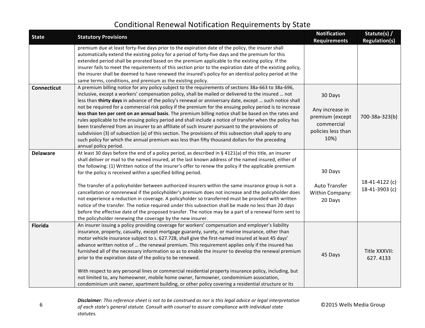| <b>State</b>       | <b>Statutory Provisions</b>                                                                                                                                                                                                                                                                                                                                                                                                                                                                                                                                                                                                                                                                                                                                                                                                                                                                                                                                                                       | <b>Notification</b><br><b>Requirements</b>                                                | Statute(s) /<br><b>Regulation(s)</b> |
|--------------------|---------------------------------------------------------------------------------------------------------------------------------------------------------------------------------------------------------------------------------------------------------------------------------------------------------------------------------------------------------------------------------------------------------------------------------------------------------------------------------------------------------------------------------------------------------------------------------------------------------------------------------------------------------------------------------------------------------------------------------------------------------------------------------------------------------------------------------------------------------------------------------------------------------------------------------------------------------------------------------------------------|-------------------------------------------------------------------------------------------|--------------------------------------|
|                    | premium due at least forty-five days prior to the expiration date of the policy, the insurer shall<br>automatically extend the existing policy for a period of forty-five days and the premium for this<br>extended period shall be prorated based on the premium applicable to the existing policy. If the<br>insurer fails to meet the requirements of this section prior to the expiration date of the existing policy,<br>the insurer shall be deemed to have renewed the insured's policy for an identical policy period at the<br>same terms, conditions, and premium as the existing policy.                                                                                                                                                                                                                                                                                                                                                                                               |                                                                                           |                                      |
| <b>Connecticut</b> | A premium billing notice for any policy subject to the requirements of sections 38a-663 to 38a-696,<br>inclusive, except a workers' compensation policy, shall be mailed or delivered to the insured  not<br>less than thirty days in advance of the policy's renewal or anniversary date, except  such notice shall<br>not be required for a commercial risk policy if the premium for the ensuing policy period is to increase<br>less than ten per cent on an annual basis. The premium billing notice shall be based on the rates and<br>rules applicable to the ensuing policy period and shall include a notice of transfer when the policy has<br>been transferred from an insurer to an affiliate of such insurer pursuant to the provisions of<br>subdivision (3) of subsection (a) of this section. The provisions of this subsection shall apply to any<br>such policy for which the annual premium was less than fifty thousand dollars for the preceding<br>annual policy period.    | 30 Days<br>Any increase in<br>premium (except<br>commercial<br>policies less than<br>10%) | 700-38a-323(b)                       |
| <b>Delaware</b>    | At least 30 days before the end of a policy period, as described in § 4121(a) of this title, an insurer<br>shall deliver or mail to the named insured, at the last known address of the named insured, either of<br>the following: (1) Written notice of the insurer's offer to renew the policy if the applicable premium<br>for the policy is received within a specified billing period.<br>The transfer of a policyholder between authorized insurers within the same insurance group is not a<br>cancellation or nonrenewal if the policyholder's premium does not increase and the policyholder does<br>not experience a reduction in coverage. A policyholder so transferred must be provided with written<br>notice of the transfer. The notice required under this subsection shall be made no less than 20 days<br>before the effective date of the proposed transfer. The notice may be a part of a renewal form sent to<br>the policyholder renewing the coverage by the new insurer. | 30 Days<br>Auto Transfer<br>Within Company:<br>20 Days                                    | 18-41-4122 (c)<br>18-41-3903 (c)     |
| Florida            | An insurer issuing a policy providing coverage for workers' compensation and employer's liability<br>insurance, property, casualty, except mortgage guaranty, surety, or marine insurance, other than<br>motor vehicle insurance subject to s. 627.728, shall give the first-named insured at least 45 days'<br>advance written notice of  the renewal premium. This requirement applies only if the insured has<br>furnished all of the necessary information so as to enable the insurer to develop the renewal premium<br>prior to the expiration date of the policy to be renewed.<br>With respect to any personal lines or commercial residential property insurance policy, including, but<br>not limited to, any homeowner, mobile home owner, farmowner, condominium association,<br>condominium unit owner, apartment building, or other policy covering a residential structure or its                                                                                                  | 45 Days                                                                                   | Title XXXVII:<br>627.4133            |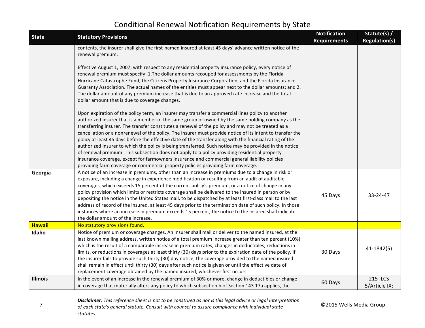| <b>State</b>    | <b>Statutory Provisions</b>                                                                                                                                                                                                                                                                                                                                                                                                                                                                                                                                                                                                                                                                                                                                                                                                                                                                                                          | <b>Notification</b><br><b>Requirements</b> | Statute(s) /<br><b>Regulation(s)</b> |
|-----------------|--------------------------------------------------------------------------------------------------------------------------------------------------------------------------------------------------------------------------------------------------------------------------------------------------------------------------------------------------------------------------------------------------------------------------------------------------------------------------------------------------------------------------------------------------------------------------------------------------------------------------------------------------------------------------------------------------------------------------------------------------------------------------------------------------------------------------------------------------------------------------------------------------------------------------------------|--------------------------------------------|--------------------------------------|
|                 | contents, the insurer shall give the first-named insured at least 45 days' advance written notice of the<br>renewal premium.                                                                                                                                                                                                                                                                                                                                                                                                                                                                                                                                                                                                                                                                                                                                                                                                         |                                            |                                      |
|                 | Effective August 1, 2007, with respect to any residential property insurance policy, every notice of<br>renewal premium must specify: 1.The dollar amounts recouped for assessments by the Florida<br>Hurricane Catastrophe Fund, the Citizens Property Insurance Corporation, and the Florida Insurance<br>Guaranty Association. The actual names of the entities must appear next to the dollar amounts; and 2.<br>The dollar amount of any premium increase that is due to an approved rate increase and the total<br>dollar amount that is due to coverage changes.                                                                                                                                                                                                                                                                                                                                                              |                                            |                                      |
|                 | Upon expiration of the policy term, an insurer may transfer a commercial lines policy to another<br>authorized insurer that is a member of the same group or owned by the same holding company as the<br>transferring insurer. The transfer constitutes a renewal of the policy and may not be treated as a<br>cancellation or a nonrenewal of the policy. The insurer must provide notice of its intent to transfer the<br>policy at least 45 days before the effective date of the transfer along with the financial rating of the<br>authorized insurer to which the policy is being transferred. Such notice may be provided in the notice<br>of renewal premium. This subsection does not apply to a policy providing residential property<br>insurance coverage, except for farmowners insurance and commercial general liability policies<br>providing farm coverage or commercial property policies providing farm coverage. |                                            |                                      |
| Georgia         | A notice of an increase in premiums, other than an increase in premiums due to a change in risk or<br>exposure, including a change in experience modification or resulting from an audit of auditable<br>coverages, which exceeds 15 percent of the current policy's premium, or a notice of change in any<br>policy provision which limits or restricts coverage shall be delivered to the insured in person or by<br>depositing the notice in the United States mail, to be dispatched by at least first-class mail to the last<br>address of record of the insured, at least 45 days prior to the termination date of such policy. In those<br>instances where an increase in premium exceeds 15 percent, the notice to the insured shall indicate<br>the dollar amount of the increase.                                                                                                                                          | 45 Days                                    | 33-24-47                             |
| <b>Hawaii</b>   | No statutory provisions found.                                                                                                                                                                                                                                                                                                                                                                                                                                                                                                                                                                                                                                                                                                                                                                                                                                                                                                       |                                            |                                      |
| Idaho           | Notice of premium or coverage changes. An insurer shall mail or deliver to the named insured, at the<br>last known mailing address, written notice of a total premium increase greater than ten percent (10%)<br>which is the result of a comparable increase in premium rates, changes in deductibles, reductions in<br>limits, or reductions in coverages at least thirty (30) days prior to the expiration date of the policy. If<br>the insurer fails to provide such thirty (30) day notice, the coverage provided to the named insured<br>shall remain in effect until thirty (30) days after such notice is given or until the effective date of<br>replacement coverage obtained by the named insured, whichever first occurs.                                                                                                                                                                                               | 30 Days                                    | 41-1842(5)                           |
| <b>Illinois</b> | In the event of an increase in the renewal premium of 30% or more, change in deductibles or change<br>in coverage that materially alters any policy to which subsection b of Section 143.17a applies, the                                                                                                                                                                                                                                                                                                                                                                                                                                                                                                                                                                                                                                                                                                                            | 60 Days                                    | <b>215 ILCS</b><br>5/Article IX:     |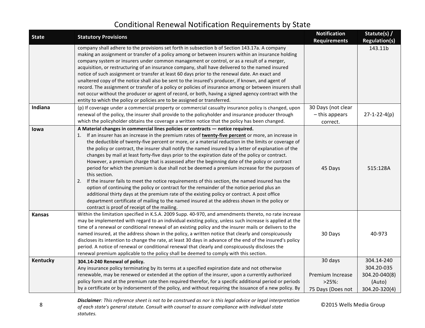| <b>State</b>  | <b>Statutory Provisions</b>                                                                                                                                                                                                                                                                                                                                                                                                                                                                                                                                                                                                                                                                                                                                                                                                                                                                                                                                                                                                                                                                                                                                                              | <b>Notification</b><br><b>Requirements</b>                    | Statute(s) /<br><b>Regulation(s)</b>                                 |
|---------------|------------------------------------------------------------------------------------------------------------------------------------------------------------------------------------------------------------------------------------------------------------------------------------------------------------------------------------------------------------------------------------------------------------------------------------------------------------------------------------------------------------------------------------------------------------------------------------------------------------------------------------------------------------------------------------------------------------------------------------------------------------------------------------------------------------------------------------------------------------------------------------------------------------------------------------------------------------------------------------------------------------------------------------------------------------------------------------------------------------------------------------------------------------------------------------------|---------------------------------------------------------------|----------------------------------------------------------------------|
|               | company shall adhere to the provisions set forth in subsection b of Section 143.17a. A company<br>making an assignment or transfer of a policy among or between insurers within an insurance holding<br>company system or insurers under common management or control, or as a result of a merger,<br>acquisition, or restructuring of an insurance company, shall have delivered to the named insured<br>notice of such assignment or transfer at least 60 days prior to the renewal date. An exact and<br>unaltered copy of the notice shall also be sent to the insured's producer, if known, and agent of<br>record. The assignment or transfer of a policy or policies of insurance among or between insurers shall<br>not occur without the producer or agent of record, or both, having a signed agency contract with the<br>entity to which the policy or policies are to be assigned or transferred.                                                                                                                                                                                                                                                                            |                                                               | 143.11b                                                              |
| Indiana       | (p) If coverage under a commercial property or commercial casualty insurance policy is changed, upon<br>renewal of the policy, the insurer shall provide to the policyholder and insurance producer through<br>which the policyholder obtains the coverage a written notice that the policy has been changed.                                                                                                                                                                                                                                                                                                                                                                                                                                                                                                                                                                                                                                                                                                                                                                                                                                                                            | 30 Days (not clear<br>- this appears<br>correct.              | $27 - 1 - 22 - 4(p)$                                                 |
| lowa          | A Material changes in commercial lines policies or contracts - notice required.<br>If an insurer has an increase in the premium rates of twenty-five percent or more, an increase in<br>1.<br>the deductible of twenty-five percent or more, or a material reduction in the limits or coverage of<br>the policy or contract, the insurer shall notify the named insured by a letter of explanation of the<br>changes by mail at least forty-five days prior to the expiration date of the policy or contract.<br>However, a premium charge that is assessed after the beginning date of the policy or contract<br>period for which the premium is due shall not be deemed a premium increase for the purposes of<br>this section.<br>If the insurer fails to meet the notice requirements of this section, the named insured has the<br>2.<br>option of continuing the policy or contract for the remainder of the notice period plus an<br>additional thirty days at the premium rate of the existing policy or contract. A post office<br>department certificate of mailing to the named insured at the address shown in the policy or<br>contract is proof of receipt of the mailing. | 45 Days                                                       | 515:128A                                                             |
| <b>Kansas</b> | Within the limitation specified in K.S.A. 2009 Supp. 40-970, and amendments thereto, no rate increase<br>may be implemented with regard to an individual existing policy, unless such increase is applied at the<br>time of a renewal or conditional renewal of an existing policy and the insurer mails or delivers to the<br>named insured, at the address shown in the policy, a written notice that clearly and conspicuously<br>discloses its intention to change the rate, at least 30 days in advance of the end of the insured's policy<br>period. A notice of renewal or conditional renewal that clearly and conspicuously discloses the<br>renewal premium applicable to the policy shall be deemed to comply with this section.                                                                                                                                                                                                                                                                                                                                                                                                                                              | 30 Days                                                       | 40-973                                                               |
| Kentucky      | 304.14-240 Renewal of policy.<br>Any insurance policy terminating by its terms at a specified expiration date and not otherwise<br>renewable, may be renewed or extended at the option of the insurer, upon a currently authorized<br>policy form and at the premium rate then required therefor, for a specific additional period or periods<br>by a certificate or by indorsement of the policy, and without requiring the issuance of a new policy. By                                                                                                                                                                                                                                                                                                                                                                                                                                                                                                                                                                                                                                                                                                                                | 30 days<br>Premium Increase<br>$>25\%$ :<br>75 Days (Does not | 304.14-240<br>304.20-035<br>304.20-040(8)<br>(Auto)<br>304.20-320(4) |

8 **8** Consultation and the consult with counsel to assure compliance with individual state **COLOGROUP** of each state's general statute. Consult with counsel to assure compliance with individual state **COLOGROUP Disclaimer**: This reference sheet is not to be construed as nor is this legal advice or legal interpretation *statutes.*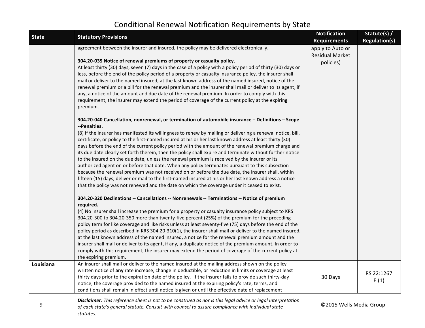| <b>State</b> | <b>Statutory Provisions</b>                                                                                                                                                                                                                                                                                                                                                                                                                                                                                                                                                                                                                                                                                                                                                                                                                                                                                                                                                                                                                                                                                                                                                                                                                                                                                                                                                                                                                                                                                                                                                                                                                                                                                                                                                                                                                                                                                                                                                                                                                                                                                                                                                                                                                                                                                                                                                                                                                                                                                                                                                                                                                                                                                                                                                                                                                                                                                              | <b>Notification</b><br><b>Requirements</b>              | Statute(s) /<br><b>Regulation(s)</b> |
|--------------|--------------------------------------------------------------------------------------------------------------------------------------------------------------------------------------------------------------------------------------------------------------------------------------------------------------------------------------------------------------------------------------------------------------------------------------------------------------------------------------------------------------------------------------------------------------------------------------------------------------------------------------------------------------------------------------------------------------------------------------------------------------------------------------------------------------------------------------------------------------------------------------------------------------------------------------------------------------------------------------------------------------------------------------------------------------------------------------------------------------------------------------------------------------------------------------------------------------------------------------------------------------------------------------------------------------------------------------------------------------------------------------------------------------------------------------------------------------------------------------------------------------------------------------------------------------------------------------------------------------------------------------------------------------------------------------------------------------------------------------------------------------------------------------------------------------------------------------------------------------------------------------------------------------------------------------------------------------------------------------------------------------------------------------------------------------------------------------------------------------------------------------------------------------------------------------------------------------------------------------------------------------------------------------------------------------------------------------------------------------------------------------------------------------------------------------------------------------------------------------------------------------------------------------------------------------------------------------------------------------------------------------------------------------------------------------------------------------------------------------------------------------------------------------------------------------------------------------------------------------------------------------------------------------------------|---------------------------------------------------------|--------------------------------------|
|              | agreement between the insurer and insured, the policy may be delivered electronically.<br>304.20-035 Notice of renewal premiums of property or casualty policy.<br>At least thirty (30) days, seven (7) days in the case of a policy with a policy period of thirty (30) days or<br>less, before the end of the policy period of a property or casualty insurance policy, the insurer shall<br>mail or deliver to the named insured, at the last known address of the named insured, notice of the<br>renewal premium or a bill for the renewal premium and the insurer shall mail or deliver to its agent, if<br>any, a notice of the amount and due date of the renewal premium. In order to comply with this<br>requirement, the insurer may extend the period of coverage of the current policy at the expiring<br>premium.<br>304.20-040 Cancellation, nonrenewal, or termination of automobile insurance - Definitions - Scope<br>--Penalties.<br>(8) If the insurer has manifested its willingness to renew by mailing or delivering a renewal notice, bill,<br>certificate, or policy to the first-named insured at his or her last known address at least thirty (30)<br>days before the end of the current policy period with the amount of the renewal premium charge and<br>its due date clearly set forth therein, then the policy shall expire and terminate without further notice<br>to the insured on the due date, unless the renewal premium is received by the insurer or its<br>authorized agent on or before that date. When any policy terminates pursuant to this subsection<br>because the renewal premium was not received on or before the due date, the insurer shall, within<br>fifteen (15) days, deliver or mail to the first-named insured at his or her last known address a notice<br>that the policy was not renewed and the date on which the coverage under it ceased to exist.<br>304.20-320 Declinations -- Cancellations -- Nonrenewals -- Terminations -- Notice of premium<br>required.<br>(4) No insurer shall increase the premium for a property or casualty insurance policy subject to KRS<br>304.20-300 to 304.20-350 more than twenty-five percent (25%) of the premium for the preceding<br>policy term for like coverage and like risks unless at least seventy-five (75) days before the end of the<br>policy period as described in KRS 304.20-310(1), the insurer shall mail or deliver to the named insured,<br>at the last known address of the named insured, a notice for the renewal premium amount and the<br>insurer shall mail or deliver to its agent, if any, a duplicate notice of the premium amount. In order to<br>comply with this requirement, the insurer may extend the period of coverage of the current policy at<br>the expiring premium.<br>An insurer shall mail or deliver to the named insured at the mailing address shown on the policy | apply to Auto or<br><b>Residual Market</b><br>policies) |                                      |
| Louisiana    | written notice of any rate increase, change in deductible, or reduction in limits or coverage at least<br>thirty days prior to the expiration date of the policy. If the insurer fails to provide such thirty-day<br>notice, the coverage provided to the named insured at the expiring policy's rate, terms, and<br>conditions shall remain in effect until notice is given or until the effective date of replacement                                                                                                                                                                                                                                                                                                                                                                                                                                                                                                                                                                                                                                                                                                                                                                                                                                                                                                                                                                                                                                                                                                                                                                                                                                                                                                                                                                                                                                                                                                                                                                                                                                                                                                                                                                                                                                                                                                                                                                                                                                                                                                                                                                                                                                                                                                                                                                                                                                                                                                  | 30 Days                                                 | RS 22:1267<br>E.(1)                  |
|              | Disclaimer: This reference sheet is not to be construed as nor is this legal advice or legal interpretation                                                                                                                                                                                                                                                                                                                                                                                                                                                                                                                                                                                                                                                                                                                                                                                                                                                                                                                                                                                                                                                                                                                                                                                                                                                                                                                                                                                                                                                                                                                                                                                                                                                                                                                                                                                                                                                                                                                                                                                                                                                                                                                                                                                                                                                                                                                                                                                                                                                                                                                                                                                                                                                                                                                                                                                                              |                                                         |                                      |

9 *of each state's general statute. Consult with counsel to assure compliance with individual state* **6 <b>C2015** Wells Media Group *statutes.*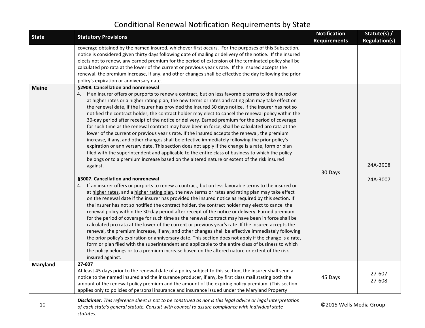| <b>State</b>    | <b>Statutory Provisions</b>                                                                                                                                                                                                                                                                                                                                                                                                                                                                                                                                                                                                                                                                                                                                                                                                                                                                                                                                                                                                                                                                                                                                                                                                                                                                                                                                                                                                                                                                                                                                                                                                                                                                                                                                                                                                                                                                                                                                                                                                                                                                                                                                                                                                                                                                                                                                                                                              | <b>Notification</b><br><b>Requirements</b> | Statute(s) /<br><b>Regulation(s)</b> |
|-----------------|--------------------------------------------------------------------------------------------------------------------------------------------------------------------------------------------------------------------------------------------------------------------------------------------------------------------------------------------------------------------------------------------------------------------------------------------------------------------------------------------------------------------------------------------------------------------------------------------------------------------------------------------------------------------------------------------------------------------------------------------------------------------------------------------------------------------------------------------------------------------------------------------------------------------------------------------------------------------------------------------------------------------------------------------------------------------------------------------------------------------------------------------------------------------------------------------------------------------------------------------------------------------------------------------------------------------------------------------------------------------------------------------------------------------------------------------------------------------------------------------------------------------------------------------------------------------------------------------------------------------------------------------------------------------------------------------------------------------------------------------------------------------------------------------------------------------------------------------------------------------------------------------------------------------------------------------------------------------------------------------------------------------------------------------------------------------------------------------------------------------------------------------------------------------------------------------------------------------------------------------------------------------------------------------------------------------------------------------------------------------------------------------------------------------------|--------------------------------------------|--------------------------------------|
|                 | coverage obtained by the named insured, whichever first occurs. For the purposes of this Subsection,<br>notice is considered given thirty days following date of mailing or delivery of the notice. If the insured<br>elects not to renew, any earned premium for the period of extension of the terminated policy shall be<br>calculated pro rata at the lower of the current or previous year's rate. If the insured accepts the<br>renewal, the premium increase, if any, and other changes shall be effective the day following the prior<br>policy's expiration or anniversary date.                                                                                                                                                                                                                                                                                                                                                                                                                                                                                                                                                                                                                                                                                                                                                                                                                                                                                                                                                                                                                                                                                                                                                                                                                                                                                                                                                                                                                                                                                                                                                                                                                                                                                                                                                                                                                                |                                            |                                      |
| <b>Maine</b>    | §2908. Cancellation and nonrenewal<br>4. If an insurer offers or purports to renew a contract, but on less favorable terms to the insured or<br>at higher rates or a higher rating plan, the new terms or rates and rating plan may take effect on<br>the renewal date, if the insurer has provided the insured 30 days notice. If the insurer has not so<br>notified the contract holder, the contract holder may elect to cancel the renewal policy within the<br>30-day period after receipt of the notice or delivery. Earned premium for the period of coverage<br>for such time as the renewal contract may have been in force, shall be calculated pro rata at the<br>lower of the current or previous year's rate. If the insured accepts the renewal, the premium<br>increase, if any, and other changes shall be effective immediately following the prior policy's<br>expiration or anniversary date. This section does not apply if the change is a rate, form or plan<br>filed with the superintendent and applicable to the entire class of business to which the policy<br>belongs or to a premium increase based on the altered nature or extent of the risk insured<br>against.<br>§3007. Cancellation and nonrenewal<br>4. If an insurer offers or purports to renew a contract, but on less favorable terms to the insured or<br>at higher rates, and a higher rating plan, the new terms or rates and rating plan may take effect<br>on the renewal date if the insurer has provided the insured notice as required by this section. If<br>the insurer has not so notified the contract holder, the contract holder may elect to cancel the<br>renewal policy within the 30-day period after receipt of the notice or delivery. Earned premium<br>for the period of coverage for such time as the renewal contract may have been in force shall be<br>calculated pro rata at the lower of the current or previous year's rate. If the insured accepts the<br>renewal, the premium increase, if any, and other changes shall be effective immediately following<br>the prior policy's expiration or anniversary date. This section does not apply if the change is a rate,<br>form or plan filed with the superintendent and applicable to the entire class of business to which<br>the policy belongs or to a premium increase based on the altered nature or extent of the risk<br>insured against. | 30 Days                                    | 24A-2908<br>24A-3007                 |
| <b>Maryland</b> | 27-607<br>At least 45 days prior to the renewal date of a policy subject to this section, the insurer shall send a<br>notice to the named insured and the insurance producer, if any, by first class mail stating both the<br>amount of the renewal policy premium and the amount of the expiring policy premium. (This section<br>applies only to policies of personal insurance and insurance issued under the Maryland Property                                                                                                                                                                                                                                                                                                                                                                                                                                                                                                                                                                                                                                                                                                                                                                                                                                                                                                                                                                                                                                                                                                                                                                                                                                                                                                                                                                                                                                                                                                                                                                                                                                                                                                                                                                                                                                                                                                                                                                                       | 45 Days                                    | 27-607<br>27-608                     |
| 10              | Disclaimer: This reference sheet is not to be construed as nor is this legal advice or legal interpretation<br>of each state's general statute. Consult with counsel to assure compliance with individual state                                                                                                                                                                                                                                                                                                                                                                                                                                                                                                                                                                                                                                                                                                                                                                                                                                                                                                                                                                                                                                                                                                                                                                                                                                                                                                                                                                                                                                                                                                                                                                                                                                                                                                                                                                                                                                                                                                                                                                                                                                                                                                                                                                                                          | ©2015 Wells Media Group                    |                                      |

*statutes.*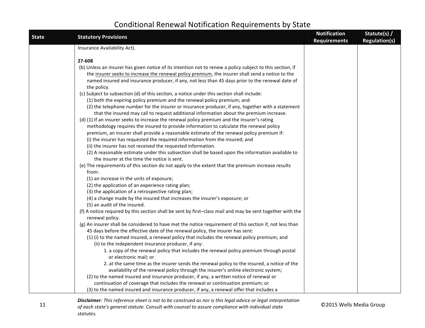| <b>State</b> | <b>Statutory Provisions</b>                                                                                                                     | <b>Notification</b><br><b>Requirements</b> | Statute(s) /<br><b>Regulation(s)</b> |
|--------------|-------------------------------------------------------------------------------------------------------------------------------------------------|--------------------------------------------|--------------------------------------|
|              | Insurance Availability Act).                                                                                                                    |                                            |                                      |
|              | 27-608                                                                                                                                          |                                            |                                      |
|              | (b) Unless an insurer has given notice of its intention not to renew a policy subject to this section, if                                       |                                            |                                      |
|              | the insurer seeks to increase the renewal policy premium, the insurer shall send a notice to the                                                |                                            |                                      |
|              | named insured and insurance producer, if any, not less than 45 days prior to the renewal date of                                                |                                            |                                      |
|              | the policy.                                                                                                                                     |                                            |                                      |
|              | (c) Subject to subsection (d) of this section, a notice under this section shall include:                                                       |                                            |                                      |
|              | (1) both the expiring policy premium and the renewal policy premium; and                                                                        |                                            |                                      |
|              | (2) the telephone number for the insurer or insurance producer, if any, together with a statement                                               |                                            |                                      |
|              | that the insured may call to request additional information about the premium increase.                                                         |                                            |                                      |
|              | (d) (1) If an insurer seeks to increase the renewal policy premium and the insurer's rating                                                     |                                            |                                      |
|              | methodology requires the insured to provide information to calculate the renewal policy                                                         |                                            |                                      |
|              | premium, an insurer shall provide a reasonable estimate of the renewal policy premium if:                                                       |                                            |                                      |
|              | (i) the insurer has requested the required information from the insured; and                                                                    |                                            |                                      |
|              | (ii) the insurer has not received the requested information.                                                                                    |                                            |                                      |
|              | (2) A reasonable estimate under this subsection shall be based upon the information available to<br>the insurer at the time the notice is sent. |                                            |                                      |
|              | (e) The requirements of this section do not apply to the extent that the premium increase results                                               |                                            |                                      |
|              | from:                                                                                                                                           |                                            |                                      |
|              | (1) an increase in the units of exposure;                                                                                                       |                                            |                                      |
|              | (2) the application of an experience rating plan;                                                                                               |                                            |                                      |
|              | (3) the application of a retrospective rating plan;                                                                                             |                                            |                                      |
|              | (4) a change made by the insured that increases the insurer's exposure; or                                                                      |                                            |                                      |
|              | (5) an audit of the insured.                                                                                                                    |                                            |                                      |
|              | (f) A notice required by this section shall be sent by first-class mail and may be sent together with the                                       |                                            |                                      |
|              | renewal policy.                                                                                                                                 |                                            |                                      |
|              | (g) An insurer shall be considered to have met the notice requirement of this section if, not less than                                         |                                            |                                      |
|              | 45 days before the effective date of the renewal policy, the insurer has sent:                                                                  |                                            |                                      |
|              | (1) (i) to the named insured, a renewal policy that includes the renewal policy premium; and                                                    |                                            |                                      |
|              | (ii) to the independent insurance producer, if any:                                                                                             |                                            |                                      |
|              | 1. a copy of the renewal policy that includes the renewal policy premium through postal                                                         |                                            |                                      |
|              | or electronic mail; or                                                                                                                          |                                            |                                      |
|              | 2. at the same time as the insurer sends the renewal policy to the insured, a notice of the                                                     |                                            |                                      |
|              | availability of the renewal policy through the insurer's online electronic system;                                                              |                                            |                                      |
|              | (2) to the named insured and insurance producer, if any, a written notice of renewal or                                                         |                                            |                                      |
|              | continuation of coverage that includes the renewal or continuation premium; or                                                                  |                                            |                                      |
|              | (3) to the named insured and insurance producer, if any, a renewal offer that includes a                                                        |                                            |                                      |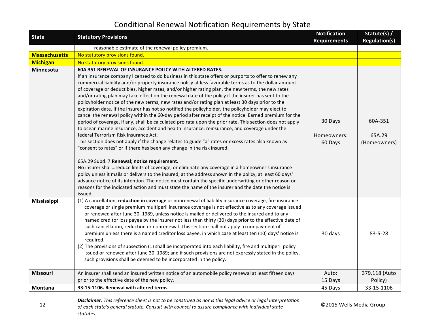| <b>State</b>         | <b>Statutory Provisions</b>                                                                                                                                                                                                                                                                                                                                                                                                                                                                                                                                                                                                                                                                                                                                                                                                                                                                                                                                                                                                                                                                                                                                                                                                                                                                                                                                                                                                                                                                                                                                                                                                                                                                                                                  | <b>Notification</b><br><b>Requirements</b> | Statute(s) /<br><b>Regulation(s)</b> |
|----------------------|----------------------------------------------------------------------------------------------------------------------------------------------------------------------------------------------------------------------------------------------------------------------------------------------------------------------------------------------------------------------------------------------------------------------------------------------------------------------------------------------------------------------------------------------------------------------------------------------------------------------------------------------------------------------------------------------------------------------------------------------------------------------------------------------------------------------------------------------------------------------------------------------------------------------------------------------------------------------------------------------------------------------------------------------------------------------------------------------------------------------------------------------------------------------------------------------------------------------------------------------------------------------------------------------------------------------------------------------------------------------------------------------------------------------------------------------------------------------------------------------------------------------------------------------------------------------------------------------------------------------------------------------------------------------------------------------------------------------------------------------|--------------------------------------------|--------------------------------------|
|                      | reasonable estimate of the renewal policy premium.                                                                                                                                                                                                                                                                                                                                                                                                                                                                                                                                                                                                                                                                                                                                                                                                                                                                                                                                                                                                                                                                                                                                                                                                                                                                                                                                                                                                                                                                                                                                                                                                                                                                                           |                                            |                                      |
| <b>Massachusetts</b> | No statutory provisions found.                                                                                                                                                                                                                                                                                                                                                                                                                                                                                                                                                                                                                                                                                                                                                                                                                                                                                                                                                                                                                                                                                                                                                                                                                                                                                                                                                                                                                                                                                                                                                                                                                                                                                                               |                                            |                                      |
| <b>Michigan</b>      | No statutory provisions found.                                                                                                                                                                                                                                                                                                                                                                                                                                                                                                                                                                                                                                                                                                                                                                                                                                                                                                                                                                                                                                                                                                                                                                                                                                                                                                                                                                                                                                                                                                                                                                                                                                                                                                               |                                            |                                      |
| Minnesota            | 60A.351 RENEWAL OF INSURANCE POLICY WITH ALTERED RATES.<br>If an insurance company licensed to do business in this state offers or purports to offer to renew any<br>commercial liability and/or property insurance policy at less favorable terms as to the dollar amount<br>of coverage or deductibles, higher rates, and/or higher rating plan, the new terms, the new rates<br>and/or rating plan may take effect on the renewal date of the policy if the insurer has sent to the<br>policyholder notice of the new terms, new rates and/or rating plan at least 30 days prior to the<br>expiration date. If the insurer has not so notified the policyholder, the policyholder may elect to<br>cancel the renewal policy within the 60-day period after receipt of the notice. Earned premium for the<br>period of coverage, if any, shall be calculated pro rata upon the prior rate. This section does not apply<br>to ocean marine insurance, accident and health insurance, reinsurance, and coverage under the<br>federal Terrorism Risk Insurance Act.<br>This section does not apply if the change relates to guide "a" rates or excess rates also known as<br>"consent to rates" or if there has been any change in the risk insured.<br>65A.29 Subd. 7. Renewal; notice requirement.<br>No insurer shallreduce limits of coverage, or eliminate any coverage in a homeowner's insurance<br>policy unless it mails or delivers to the insured, at the address shown in the policy, at least 60 days'<br>advance notice of its intention. The notice must contain the specific underwriting or other reason or<br>reasons for the indicated action and must state the name of the insurer and the date the notice is<br>issued. | 30 Days<br>Homeowners:<br>60 Days          | 60A-351<br>65A.29<br>(Homeowners)    |
| Mississippi          | (1) A cancellation, reduction in coverage or nonrenewal of liability insurance coverage, fire insurance<br>coverage or single premium multiperil insurance coverage is not effective as to any coverage issued<br>or renewed after June 30, 1989, unless notice is mailed or delivered to the insured and to any<br>named creditor loss payee by the insurer not less than thirty (30) days prior to the effective date of<br>such cancellation, reduction or nonrenewal. This section shall not apply to nonpayment of<br>premium unless there is a named creditor loss payee, in which case at least ten (10) days' notice is<br>required.<br>(2) The provisions of subsection (1) shall be incorporated into each liability, fire and multiperil policy<br>issued or renewed after June 30, 1989; and if such provisions are not expressly stated in the policy,<br>such provisions shall be deemed to be incorporated in the policy.                                                                                                                                                                                                                                                                                                                                                                                                                                                                                                                                                                                                                                                                                                                                                                                                     | 30 days                                    | $83 - 5 - 28$                        |
| <b>Missouri</b>      | An insurer shall send an insured written notice of an automobile policy renewal at least fifteen days<br>prior to the effective date of the new policy.                                                                                                                                                                                                                                                                                                                                                                                                                                                                                                                                                                                                                                                                                                                                                                                                                                                                                                                                                                                                                                                                                                                                                                                                                                                                                                                                                                                                                                                                                                                                                                                      | Auto:<br>15 Days                           | 379.118 (Auto<br>Policy)             |
| Montana              | 33-15-1106. Renewal with altered terms.                                                                                                                                                                                                                                                                                                                                                                                                                                                                                                                                                                                                                                                                                                                                                                                                                                                                                                                                                                                                                                                                                                                                                                                                                                                                                                                                                                                                                                                                                                                                                                                                                                                                                                      | 45 Days                                    | 33-15-1106                           |
|                      |                                                                                                                                                                                                                                                                                                                                                                                                                                                                                                                                                                                                                                                                                                                                                                                                                                                                                                                                                                                                                                                                                                                                                                                                                                                                                                                                                                                                                                                                                                                                                                                                                                                                                                                                              |                                            |                                      |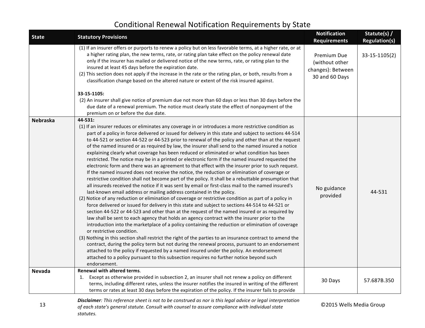| <b>State</b>    | <b>Statutory Provisions</b>                                                                                                                                                                                                                                                                                                                                                                                                                                                                                                                                                                                                                                                                                                                                                                                                                                                                                                                                                                                                                                                                                                                                                                                                                                                                                                                                                                                                                                                                                                                                                                                                                                                                                                                                                                                                                                                                                                                                                                                                                                                                                 | <b>Notification</b><br><b>Requirements</b>                           | Statute(s) /<br><b>Regulation(s)</b> |
|-----------------|-------------------------------------------------------------------------------------------------------------------------------------------------------------------------------------------------------------------------------------------------------------------------------------------------------------------------------------------------------------------------------------------------------------------------------------------------------------------------------------------------------------------------------------------------------------------------------------------------------------------------------------------------------------------------------------------------------------------------------------------------------------------------------------------------------------------------------------------------------------------------------------------------------------------------------------------------------------------------------------------------------------------------------------------------------------------------------------------------------------------------------------------------------------------------------------------------------------------------------------------------------------------------------------------------------------------------------------------------------------------------------------------------------------------------------------------------------------------------------------------------------------------------------------------------------------------------------------------------------------------------------------------------------------------------------------------------------------------------------------------------------------------------------------------------------------------------------------------------------------------------------------------------------------------------------------------------------------------------------------------------------------------------------------------------------------------------------------------------------------|----------------------------------------------------------------------|--------------------------------------|
|                 | (1) If an insurer offers or purports to renew a policy but on less favorable terms, at a higher rate, or at<br>a higher rating plan, the new terms, rate, or rating plan take effect on the policy renewal date<br>only if the insurer has mailed or delivered notice of the new terms, rate, or rating plan to the<br>insured at least 45 days before the expiration date.<br>(2) This section does not apply if the increase in the rate or the rating plan, or both, results from a<br>classification change based on the altered nature or extent of the risk insured against.<br>33-15-1105:                                                                                                                                                                                                                                                                                                                                                                                                                                                                                                                                                                                                                                                                                                                                                                                                                                                                                                                                                                                                                                                                                                                                                                                                                                                                                                                                                                                                                                                                                                           | Premium Due<br>(without other<br>changes): Between<br>30 and 60 Days | 33-15-1105(2)                        |
|                 | (2) An insurer shall give notice of premium due not more than 60 days or less than 30 days before the<br>due date of a renewal premium. The notice must clearly state the effect of nonpayment of the<br>premium on or before the due date.                                                                                                                                                                                                                                                                                                                                                                                                                                                                                                                                                                                                                                                                                                                                                                                                                                                                                                                                                                                                                                                                                                                                                                                                                                                                                                                                                                                                                                                                                                                                                                                                                                                                                                                                                                                                                                                                 |                                                                      |                                      |
| <b>Nebraska</b> | 44-531:<br>(1) If an insurer reduces or eliminates any coverage in or introduces a more restrictive condition as<br>part of a policy in force delivered or issued for delivery in this state and subject to sections 44-514<br>to 44-521 or section 44-522 or 44-523 prior to renewal of the policy and other than at the request<br>of the named insured or as required by law, the insurer shall send to the named insured a notice<br>explaining clearly what coverage has been reduced or eliminated or what condition has been<br>restricted. The notice may be in a printed or electronic form if the named insured requested the<br>electronic form and there was an agreement to that effect with the insurer prior to such request.<br>If the named insured does not receive the notice, the reduction or elimination of coverage or<br>restrictive condition shall not become part of the policy. It shall be a rebuttable presumption that<br>all insureds received the notice if it was sent by email or first-class mail to the named insured's<br>last-known email address or mailing address contained in the policy.<br>(2) Notice of any reduction or elimination of coverage or restrictive condition as part of a policy in<br>force delivered or issued for delivery in this state and subject to sections 44-514 to 44-521 or<br>section 44-522 or 44-523 and other than at the request of the named insured or as required by<br>law shall be sent to each agency that holds an agency contract with the insurer prior to the<br>introduction into the marketplace of a policy containing the reduction or elimination of coverage<br>or restrictive condition.<br>(3) Nothing in this section shall restrict the right of the parties to an insurance contract to amend the<br>contract, during the policy term but not during the renewal process, pursuant to an endorsement<br>attached to the policy if requested by a named insured under the policy. An endorsement<br>attached to a policy pursuant to this subsection requires no further notice beyond such<br>endorsement. | No guidance<br>provided                                              | 44-531                               |
| Nevada          | <b>Renewal with altered terms.</b><br>Except as otherwise provided in subsection 2, an insurer shall not renew a policy on different<br>terms, including different rates, unless the insurer notifies the insured in writing of the different<br>terms or rates at least 30 days before the expiration of the policy. If the insurer fails to provide                                                                                                                                                                                                                                                                                                                                                                                                                                                                                                                                                                                                                                                                                                                                                                                                                                                                                                                                                                                                                                                                                                                                                                                                                                                                                                                                                                                                                                                                                                                                                                                                                                                                                                                                                       | 30 Days                                                              | 57.687B.350                          |
|                 | <b>Disclaimer</b> : This reference sheet is not to be construed as nor is this legal advice or legal interpretation                                                                                                                                                                                                                                                                                                                                                                                                                                                                                                                                                                                                                                                                                                                                                                                                                                                                                                                                                                                                                                                                                                                                                                                                                                                                                                                                                                                                                                                                                                                                                                                                                                                                                                                                                                                                                                                                                                                                                                                         |                                                                      |                                      |

**Disclaimer**: This reference sheet is not to be construed as nor is this legal advice or legal interpretation<br>13 of each state's general statute, Consult with counsel to assure compliance with individual state **O2015** Well of each state's general statute. Consult with counsel to assure compliance with individual state *statutes.*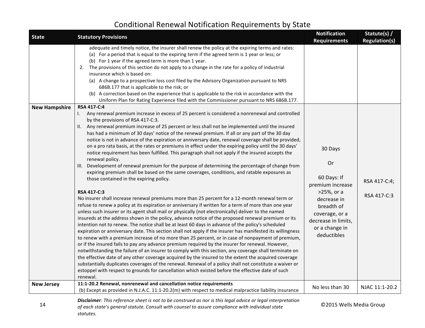| <b>State</b>         | <b>Statutory Provisions</b>                                                                                                                                                                                                                                                                                                                                                                                                                                                                                                                                                                                                                                                                                                                                                                                                                                                                                                                                                                                                                                                                                                                                                                                                                                                                                                                                                                                                                                                                                                                                                                                                                                                                                                                                                                                                                                                                                                                                                                                                                                                                                                                                                                                                                                           | <b>Notification</b><br><b>Requirements</b>                                                                                                                            | Statute(s) /<br><b>Regulation(s)</b> |
|----------------------|-----------------------------------------------------------------------------------------------------------------------------------------------------------------------------------------------------------------------------------------------------------------------------------------------------------------------------------------------------------------------------------------------------------------------------------------------------------------------------------------------------------------------------------------------------------------------------------------------------------------------------------------------------------------------------------------------------------------------------------------------------------------------------------------------------------------------------------------------------------------------------------------------------------------------------------------------------------------------------------------------------------------------------------------------------------------------------------------------------------------------------------------------------------------------------------------------------------------------------------------------------------------------------------------------------------------------------------------------------------------------------------------------------------------------------------------------------------------------------------------------------------------------------------------------------------------------------------------------------------------------------------------------------------------------------------------------------------------------------------------------------------------------------------------------------------------------------------------------------------------------------------------------------------------------------------------------------------------------------------------------------------------------------------------------------------------------------------------------------------------------------------------------------------------------------------------------------------------------------------------------------------------------|-----------------------------------------------------------------------------------------------------------------------------------------------------------------------|--------------------------------------|
|                      | adequate and timely notice, the insurer shall renew the policy at the expiring terms and rates:<br>(a) For a period that is equal to the expiring term if the agreed term is 1 year or less; or<br>(b) For 1 year if the agreed term is more than 1 year.<br>2. The provisions of this section do not apply to a change in the rate for a policy of industrial<br>insurance which is based on:<br>(a) A change to a prospective loss cost filed by the Advisory Organization pursuant to NRS<br>686B.177 that is applicable to the risk; or<br>(b) A correction based on the experience that is applicable to the risk in accordance with the<br>Uniform Plan for Rating Experience filed with the Commissioner pursuant to NRS 686B.177.<br>RSA 417-C:4                                                                                                                                                                                                                                                                                                                                                                                                                                                                                                                                                                                                                                                                                                                                                                                                                                                                                                                                                                                                                                                                                                                                                                                                                                                                                                                                                                                                                                                                                                              |                                                                                                                                                                       |                                      |
| <b>New Hampshire</b> | Any renewal premium increase in excess of 25 percent is considered a nonrenewal and controlled<br>$\mathbf{L}$<br>by the provisions of RSA 417-C:3.<br>II. Any renewal premium increase of 25 percent or less shall not be implemented until the insured<br>has had a minimum of 30 days' notice of the renewal premium. If all or any part of the 30 day<br>notice is not in advance of the expiration or anniversary date, renewal coverage shall be provided,<br>on a pro rata basis, at the rates or premiums in effect under the expiring policy until the 30 days'<br>notice requirement has been fulfilled. This paragraph shall not apply if the insured accepts the<br>renewal policy.<br>III. Development of renewal premium for the purpose of determining the percentage of change from<br>expiring premium shall be based on the same coverages, conditions, and ratable exposures as<br>those contained in the expiring policy.<br><b>RSA 417-C:3</b><br>No insurer shall increase renewal premiums more than 25 percent for a 12-month renewal term or<br>refuse to renew a policy at its expiration or anniversary if written for a term of more than one year<br>unless such insurer or its agent shall mail or physically (not electronically) deliver to the named<br>insureds at the address shown in the policy, advance notice of the proposed renewal premium or its<br>intention not to renew. The notice shall be at least 60 days in advance of the policy's scheduled<br>expiration or anniversary date. This section shall not apply if the insurer has manifested its willingness<br>to renew with a premium increase of no more than 25 percent, or in case of nonpayment of premium,<br>or if the insured fails to pay any advance premium required by the insurer for renewal. However,<br>notwithstanding the failure of an insurer to comply with this section, any coverage shall terminate on<br>the effective date of any other coverage acquired by the insured to the extent the acquired coverage<br>substantially duplicates coverages of the renewal. Renewal of a policy shall not constitute a waiver or<br>estoppel with respect to grounds for cancellation which existed before the effective date of such<br>renewal. | 30 Days<br>Or<br>60 Days: If<br>premium increase<br>>25%, or a<br>decrease in<br>breadth of<br>coverage, or a<br>decrease in limits,<br>or a change in<br>deductibles | RSA 417-C:4;<br>RSA 417-C:3          |
| <b>New Jersey</b>    | 11:1-20.2 Renewal, nonrenewal and cancellation notice requirements<br>(b) Except as provided in N.J.A.C. 11:1-20.2(m) with respect to medical malpractice liability insurance                                                                                                                                                                                                                                                                                                                                                                                                                                                                                                                                                                                                                                                                                                                                                                                                                                                                                                                                                                                                                                                                                                                                                                                                                                                                                                                                                                                                                                                                                                                                                                                                                                                                                                                                                                                                                                                                                                                                                                                                                                                                                         | No less than 30                                                                                                                                                       | NJAC 11:1-20.2                       |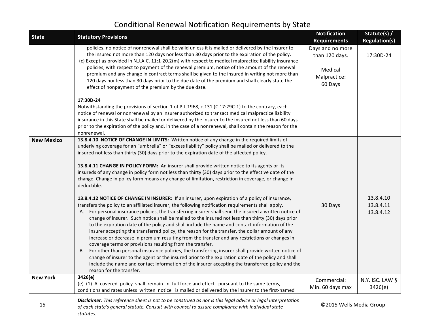| <b>State</b>      | <b>Statutory Provisions</b>                                                                                                                                                                                                                                                                                                                                                                                                                                                                                                                                                                                                                                                                                                                                                                                                                                                                                                                                                                                                                                                                                                                                                                                                                                                                                                                                                                                                                                                                                                                                                                                                                                                                                                                                                             | <b>Notification</b><br><b>Requirements</b>                               | Statute(s) /<br><b>Regulation(s)</b> |
|-------------------|-----------------------------------------------------------------------------------------------------------------------------------------------------------------------------------------------------------------------------------------------------------------------------------------------------------------------------------------------------------------------------------------------------------------------------------------------------------------------------------------------------------------------------------------------------------------------------------------------------------------------------------------------------------------------------------------------------------------------------------------------------------------------------------------------------------------------------------------------------------------------------------------------------------------------------------------------------------------------------------------------------------------------------------------------------------------------------------------------------------------------------------------------------------------------------------------------------------------------------------------------------------------------------------------------------------------------------------------------------------------------------------------------------------------------------------------------------------------------------------------------------------------------------------------------------------------------------------------------------------------------------------------------------------------------------------------------------------------------------------------------------------------------------------------|--------------------------------------------------------------------------|--------------------------------------|
|                   | policies, no notice of nonrenewal shall be valid unless it is mailed or delivered by the insurer to<br>the insured not more than 120 days nor less than 30 days prior to the expiration of the policy.<br>(c) Except as provided in N.J.A.C. 11:1-20.2(m) with respect to medical malpractice liability insurance<br>policies, with respect to payment of the renewal premium, notice of the amount of the renewal<br>premium and any change in contract terms shall be given to the insured in writing not more than<br>120 days nor less than 30 days prior to the due date of the premium and shall clearly state the<br>effect of nonpayment of the premium by the due date.                                                                                                                                                                                                                                                                                                                                                                                                                                                                                                                                                                                                                                                                                                                                                                                                                                                                                                                                                                                                                                                                                                        | Days and no more<br>than 120 days.<br>Medical<br>Malpractice:<br>60 Days | 17:30D-24                            |
|                   | 17:30D-24<br>Notwithstanding the provisions of section 1 of P.L.1968, c.131 (C.17:29C-1) to the contrary, each<br>notice of renewal or nonrenewal by an insurer authorized to transact medical malpractice liability<br>insurance in this State shall be mailed or delivered by the insurer to the insured not less than 60 days<br>prior to the expiration of the policy and, in the case of a nonrenewal, shall contain the reason for the<br>nonrenewal.                                                                                                                                                                                                                                                                                                                                                                                                                                                                                                                                                                                                                                                                                                                                                                                                                                                                                                                                                                                                                                                                                                                                                                                                                                                                                                                             |                                                                          |                                      |
| <b>New Mexico</b> | 13.8.4.10 NOTICE OF CHANGE IN LIMITS: Written notice of any change in the required limits of<br>underlying coverage for an "umbrella" or "excess liability" policy shall be mailed or delivered to the<br>insured not less than thirty (30) days prior to the expiration date of the affected policy.<br>13.8.4.11 CHANGE IN POLICY FORM: An insurer shall provide written notice to its agents or its<br>insureds of any change in policy form not less than thirty (30) days prior to the effective date of the<br>change. Change in policy form means any change of limitation, restriction in coverage, or change in<br>deductible.<br>13.8.4.12 NOTICE OF CHANGE IN INSURER: If an insurer, upon expiration of a policy of insurance,<br>transfers the policy to an affiliated insurer, the following notification requirements shall apply.<br>A. For personal insurance policies, the transferring insurer shall send the insured a written notice of<br>change of insurer. Such notice shall be mailed to the insured not less than thirty (30) days prior<br>to the expiration date of the policy and shall include the name and contact information of the<br>insurer accepting the transferred policy, the reason for the transfer, the dollar amount of any<br>increase or decrease in premium resulting from the transfer and any restrictions or changes in<br>coverage terms or provisions resulting from the transfer.<br>B. For other than personal insurance policies, the transferring insurer shall provide written notice of<br>change of insurer to the agent or the insured prior to the expiration date of the policy and shall<br>include the name and contact information of the insurer accepting the transferred policy and the<br>reason for the transfer. | 30 Days                                                                  | 13.8.4.10<br>13.8.4.11<br>13.8.4.12  |
| <b>New York</b>   | 3426(e)<br>(e) (1) A covered policy shall remain in full force and effect pursuant to the same terms,<br>conditions and rates unless written notice is mailed or delivered by the insurer to the first-named                                                                                                                                                                                                                                                                                                                                                                                                                                                                                                                                                                                                                                                                                                                                                                                                                                                                                                                                                                                                                                                                                                                                                                                                                                                                                                                                                                                                                                                                                                                                                                            | Commercial:<br>Min. 60 days max                                          | N.Y. ISC. LAW §<br>3426(e)           |
|                   | Disclaimer: This reference sheet is not to be construed as nor is this legal advice or legal interpretation                                                                                                                                                                                                                                                                                                                                                                                                                                                                                                                                                                                                                                                                                                                                                                                                                                                                                                                                                                                                                                                                                                                                                                                                                                                                                                                                                                                                                                                                                                                                                                                                                                                                             |                                                                          |                                      |

15 *of each state's general statute. Consult with counsel to assure compliance with individual state* **6 <b>C2015** Wells Media Group *statutes.*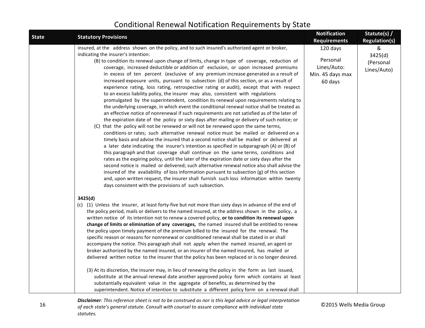| <b>State</b> | <b>Statutory Provisions</b>                                                                                                                                                                                                                                                                                                                                                                                                                                                                                                                                                                                                                                                                                                                                                                                                                                                                                                                                                                                                                                                                                                                                                                                                                                                                                                                                                                                                                                                                                                                                                                                                                                                                                                                                                                                                                                                                                                                                                                                 | <b>Notification</b><br><b>Requirements</b>                         | Statute(s) /<br><b>Regulation(s)</b>     |
|--------------|-------------------------------------------------------------------------------------------------------------------------------------------------------------------------------------------------------------------------------------------------------------------------------------------------------------------------------------------------------------------------------------------------------------------------------------------------------------------------------------------------------------------------------------------------------------------------------------------------------------------------------------------------------------------------------------------------------------------------------------------------------------------------------------------------------------------------------------------------------------------------------------------------------------------------------------------------------------------------------------------------------------------------------------------------------------------------------------------------------------------------------------------------------------------------------------------------------------------------------------------------------------------------------------------------------------------------------------------------------------------------------------------------------------------------------------------------------------------------------------------------------------------------------------------------------------------------------------------------------------------------------------------------------------------------------------------------------------------------------------------------------------------------------------------------------------------------------------------------------------------------------------------------------------------------------------------------------------------------------------------------------------|--------------------------------------------------------------------|------------------------------------------|
|              | insured, at the address shown on the policy, and to such insured's authorized agent or broker,<br>indicating the insurer's intention:<br>(B) to condition its renewal upon change of limits, change in type of coverage, reduction of<br>coverage, increased deductible or addition of exclusion, or upon increased premiums<br>in excess of ten percent (exclusive of any premium increase generated as a result of<br>increased exposure units, pursuant to subsection (d) of this section, or as a result of<br>experience rating, loss rating, retrospective rating or audit), except that with respect<br>to an excess liability policy, the insurer may also, consistent with regulations<br>promulgated by the superintendent, condition its renewal upon requirements relating to<br>the underlying coverage, in which event the conditional renewal notice shall be treated as<br>an effective notice of nonrenewal if such requirements are not satisfied as of the later of<br>the expiration date of the policy or sixty days after mailing or delivery of such notice; or<br>(C) that the policy will not be renewed or will not be renewed upon the same terms,<br>conditions or rates; such alternative renewal notice must be mailed or delivered on a<br>timely basis and advise the insured that a second notice shall be mailed or delivered at<br>a later date indicating the insurer's intention as specified in subparagraph (A) or (B) of<br>this paragraph and that coverage shall continue on the same terms, conditions and<br>rates as the expiring policy, until the later of the expiration date or sixty days after the<br>second notice is mailed or delivered; such alternative renewal notice also shall advise the<br>insured of the availability of loss information pursuant to subsection $(g)$ of this section<br>and, upon written request, the insurer shall furnish such loss information within twenty<br>days consistent with the provisions of such subsection. | 120 days<br>Personal<br>Lines/Auto:<br>Min. 45 days max<br>60 days | &<br>3425(d)<br>(Personal<br>Lines/Auto) |
|              | 3425(d)<br>(c) (1) Unless the insurer, at least forty-five but not more than sixty days in advance of the end of<br>the policy period, mails or delivers to the named insured, at the address shown in the policy, a<br>written notice of its intention not to renew a covered policy, or to condition its renewal upon<br>change of limits or elimination of any coverages, the named insured shall be entitled to renew<br>the policy upon timely payment of the premium billed to the insured for the renewal. The<br>specific reason or reasons for nonrenewal or conditioned renewal shall be stated in or shall<br>accompany the notice. This paragraph shall not apply when the named insured, an agent or<br>broker authorized by the named insured, or an insurer of the named insured, has mailed or<br>delivered written notice to the insurer that the policy has been replaced or is no longer desired.<br>(3) At its discretion, the insurer may, in lieu of renewing the policy in the form as last issued,<br>substitute at the annual renewal date another approved policy form which contains at least<br>substantially equivalent value in the aggregate of benefits, as determined by the<br>superintendent. Notice of intention to substitute a different policy form on a renewal shall                                                                                                                                                                                                                                                                                                                                                                                                                                                                                                                                                                                                                                                                                               |                                                                    |                                          |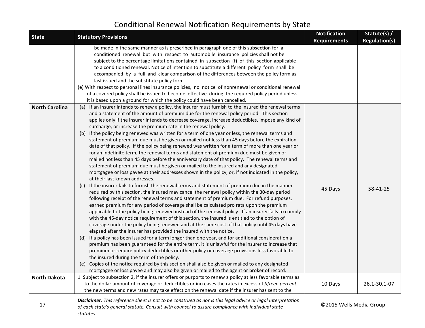| <b>State</b>          | <b>Statutory Provisions</b>                                                                                                                                                                                                                                                                                                                                                                                                                                                                                                                                                                                                                                                                                                                                                                                                                                                                                                                                                                                                                                                                                                                                                                                                                                                                                                                                                                                                                                                                                                                                                                                                                                                                                                                                                                                                                                                                                                                                                                                                                                                                                                                                                                                                                                                                                                                                                                                                                                 | <b>Notification</b><br><b>Requirements</b> | Statute(s) /<br><b>Regulation(s)</b> |
|-----------------------|-------------------------------------------------------------------------------------------------------------------------------------------------------------------------------------------------------------------------------------------------------------------------------------------------------------------------------------------------------------------------------------------------------------------------------------------------------------------------------------------------------------------------------------------------------------------------------------------------------------------------------------------------------------------------------------------------------------------------------------------------------------------------------------------------------------------------------------------------------------------------------------------------------------------------------------------------------------------------------------------------------------------------------------------------------------------------------------------------------------------------------------------------------------------------------------------------------------------------------------------------------------------------------------------------------------------------------------------------------------------------------------------------------------------------------------------------------------------------------------------------------------------------------------------------------------------------------------------------------------------------------------------------------------------------------------------------------------------------------------------------------------------------------------------------------------------------------------------------------------------------------------------------------------------------------------------------------------------------------------------------------------------------------------------------------------------------------------------------------------------------------------------------------------------------------------------------------------------------------------------------------------------------------------------------------------------------------------------------------------------------------------------------------------------------------------------------------------|--------------------------------------------|--------------------------------------|
|                       | be made in the same manner as is prescribed in paragraph one of this subsection for a<br>conditioned renewal but with respect to automobile insurance policies shall not be<br>subject to the percentage limitations contained in subsection (f) of this section applicable<br>to a conditioned renewal. Notice of intention to substitute a different policy form shall be<br>accompanied by a full and clear comparison of the differences between the policy form as<br>last issued and the substitute policy form.<br>(e) With respect to personal lines insurance policies, no notice of nonrenewal or conditional renewal<br>of a covered policy shall be issued to become effective during the required policy period unless<br>it is based upon a ground for which the policy could have been cancelled.                                                                                                                                                                                                                                                                                                                                                                                                                                                                                                                                                                                                                                                                                                                                                                                                                                                                                                                                                                                                                                                                                                                                                                                                                                                                                                                                                                                                                                                                                                                                                                                                                                            |                                            |                                      |
| <b>North Carolina</b> | (a) If an insurer intends to renew a policy, the insurer must furnish to the insured the renewal terms<br>and a statement of the amount of premium due for the renewal policy period. This section<br>applies only if the insurer intends to decrease coverage, increase deductibles, impose any kind of<br>surcharge, or increase the premium rate in the renewal policy.<br>(b) If the policy being renewed was written for a term of one year or less, the renewal terms and<br>statement of premium due must be given or mailed not less than 45 days before the expiration<br>date of that policy. If the policy being renewed was written for a term of more than one year or<br>for an indefinite term, the renewal terms and statement of premium due must be given or<br>mailed not less than 45 days before the anniversary date of that policy. The renewal terms and<br>statement of premium due must be given or mailed to the insured and any designated<br>mortgagee or loss payee at their addresses shown in the policy, or, if not indicated in the policy,<br>at their last known addresses.<br>If the insurer fails to furnish the renewal terms and statement of premium due in the manner<br>(c)<br>required by this section, the insured may cancel the renewal policy within the 30-day period<br>following receipt of the renewal terms and statement of premium due. For refund purposes,<br>earned premium for any period of coverage shall be calculated pro rata upon the premium<br>applicable to the policy being renewed instead of the renewal policy. If an insurer fails to comply<br>with the 45-day notice requirement of this section, the insured is entitled to the option of<br>coverage under the policy being renewed and at the same cost of that policy until 45 days have<br>elapsed after the insurer has provided the insured with the notice.<br>(d) If a policy has been issued for a term longer than one year, and for additional consideration a<br>premium has been guaranteed for the entire term, it is unlawful for the insurer to increase that<br>premium or require policy deductibles or other policy or coverage provisions less favorable to<br>the insured during the term of the policy.<br>(e) Copies of the notice required by this section shall also be given or mailed to any designated<br>mortgagee or loss payee and may also be given or mailed to the agent or broker of record. | 45 Days                                    | 58-41-25                             |
| <b>North Dakota</b>   | 1. Subject to subsection 2, if the insurer offers or purports to renew a policy at less favorable terms as                                                                                                                                                                                                                                                                                                                                                                                                                                                                                                                                                                                                                                                                                                                                                                                                                                                                                                                                                                                                                                                                                                                                                                                                                                                                                                                                                                                                                                                                                                                                                                                                                                                                                                                                                                                                                                                                                                                                                                                                                                                                                                                                                                                                                                                                                                                                                  |                                            |                                      |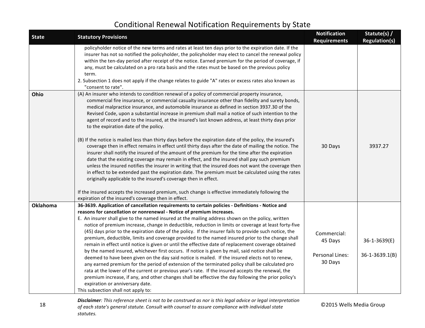| <b>State</b>    | <b>Statutory Provisions</b>                                                                                                                                                                                                                                                                                                                                                                                                                                                                                                                                                                                                                                                                                                                                                                                                                                                                                                                                                                                                                                                                                                                                                                                                                                                                                                                                         | <b>Notification</b><br><b>Requirements</b>           | Statute(s) /<br><b>Regulation(s)</b> |
|-----------------|---------------------------------------------------------------------------------------------------------------------------------------------------------------------------------------------------------------------------------------------------------------------------------------------------------------------------------------------------------------------------------------------------------------------------------------------------------------------------------------------------------------------------------------------------------------------------------------------------------------------------------------------------------------------------------------------------------------------------------------------------------------------------------------------------------------------------------------------------------------------------------------------------------------------------------------------------------------------------------------------------------------------------------------------------------------------------------------------------------------------------------------------------------------------------------------------------------------------------------------------------------------------------------------------------------------------------------------------------------------------|------------------------------------------------------|--------------------------------------|
|                 | policyholder notice of the new terms and rates at least ten days prior to the expiration date. If the<br>insurer has not so notified the policyholder, the policyholder may elect to cancel the renewal policy<br>within the ten-day period after receipt of the notice. Earned premium for the period of coverage, if<br>any, must be calculated on a pro rata basis and the rates must be based on the previous policy<br>term.<br>2. Subsection 1 does not apply if the change relates to guide "A" rates or excess rates also known as<br>"consent to rate".                                                                                                                                                                                                                                                                                                                                                                                                                                                                                                                                                                                                                                                                                                                                                                                                    |                                                      |                                      |
| Ohio            | (A) An insurer who intends to condition renewal of a policy of commercial property insurance,<br>commercial fire insurance, or commercial casualty insurance other than fidelity and surety bonds,<br>medical malpractice insurance, and automobile insurance as defined in section 3937.30 of the<br>Revised Code, upon a substantial increase in premium shall mail a notice of such intention to the<br>agent of record and to the insured, at the insured's last known address, at least thirty days prior<br>to the expiration date of the policy.<br>(B) If the notice is mailed less than thirty days before the expiration date of the policy, the insured's<br>coverage then in effect remains in effect until thirty days after the date of mailing the notice. The<br>insurer shall notify the insured of the amount of the premium for the time after the expiration<br>date that the existing coverage may remain in effect, and the insured shall pay such premium<br>unless the insured notifies the insurer in writing that the insured does not want the coverage then<br>in effect to be extended past the expiration date. The premium must be calculated using the rates<br>originally applicable to the insured's coverage then in effect.<br>If the insured accepts the increased premium, such change is effective immediately following the | 30 Days                                              | 3937.27                              |
|                 | expiration of the insured's coverage then in effect.                                                                                                                                                                                                                                                                                                                                                                                                                                                                                                                                                                                                                                                                                                                                                                                                                                                                                                                                                                                                                                                                                                                                                                                                                                                                                                                |                                                      |                                      |
| <b>Oklahoma</b> | 36-3639. Application of cancellation requirements to certain policies - Definitions - Notice and<br>reasons for cancellation or nonrenewal - Notice of premium increases.                                                                                                                                                                                                                                                                                                                                                                                                                                                                                                                                                                                                                                                                                                                                                                                                                                                                                                                                                                                                                                                                                                                                                                                           |                                                      |                                      |
|                 | E. An insurer shall give to the named insured at the mailing address shown on the policy, written                                                                                                                                                                                                                                                                                                                                                                                                                                                                                                                                                                                                                                                                                                                                                                                                                                                                                                                                                                                                                                                                                                                                                                                                                                                                   |                                                      |                                      |
|                 | notice of premium increase, change in deductible, reduction in limits or coverage at least forty-five<br>(45) days prior to the expiration date of the policy. If the insurer fails to provide such notice, the<br>premium, deductible, limits and coverage provided to the named insured prior to the change shall<br>remain in effect until notice is given or until the effective date of replacement coverage obtained<br>by the named insured, whichever first occurs. If notice is given by mail, said notice shall be<br>deemed to have been given on the day said notice is mailed. If the insured elects not to renew,<br>any earned premium for the period of extension of the terminated policy shall be calculated pro<br>rata at the lower of the current or previous year's rate. If the insured accepts the renewal, the<br>premium increase, if any, and other changes shall be effective the day following the prior policy's                                                                                                                                                                                                                                                                                                                                                                                                                      | Commercial:<br>45 Days<br>Personal Lines:<br>30 Days | 36-1-3639(E)<br>$36 - 1 - 3639.1(B)$ |
|                 | expiration or anniversary date.                                                                                                                                                                                                                                                                                                                                                                                                                                                                                                                                                                                                                                                                                                                                                                                                                                                                                                                                                                                                                                                                                                                                                                                                                                                                                                                                     |                                                      |                                      |
|                 | This subsection shall not apply to:                                                                                                                                                                                                                                                                                                                                                                                                                                                                                                                                                                                                                                                                                                                                                                                                                                                                                                                                                                                                                                                                                                                                                                                                                                                                                                                                 |                                                      |                                      |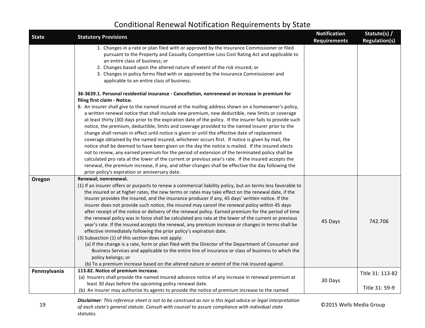| <b>State</b> | <b>Statutory Provisions</b>                                                                                                                                                                                                                                                                                                                                                                                                                                                                                                                                                                                                                                                                                                                                                                                                                                                                                                                                                                                                                                                                                                           | <b>Notification</b><br><b>Requirements</b> | Statute(s) /<br><b>Regulation(s)</b> |
|--------------|---------------------------------------------------------------------------------------------------------------------------------------------------------------------------------------------------------------------------------------------------------------------------------------------------------------------------------------------------------------------------------------------------------------------------------------------------------------------------------------------------------------------------------------------------------------------------------------------------------------------------------------------------------------------------------------------------------------------------------------------------------------------------------------------------------------------------------------------------------------------------------------------------------------------------------------------------------------------------------------------------------------------------------------------------------------------------------------------------------------------------------------|--------------------------------------------|--------------------------------------|
|              | 1. Changes in a rate or plan filed with or approved by the Insurance Commissioner or filed<br>pursuant to the Property and Casualty Competitive Loss Cost Rating Act and applicable to<br>an entire class of business; or<br>2. Changes based upon the altered nature of extent of the risk insured; or<br>3. Changes in policy forms filed with or approved by the Insurance Commissioner and<br>applicable to an entire class of business.                                                                                                                                                                                                                                                                                                                                                                                                                                                                                                                                                                                                                                                                                          |                                            |                                      |
|              | 36-3639.1. Personal residential insurance - Cancellation, nonrenewal or increase in premium for                                                                                                                                                                                                                                                                                                                                                                                                                                                                                                                                                                                                                                                                                                                                                                                                                                                                                                                                                                                                                                       |                                            |                                      |
|              | filing first claim - Notice.<br>B. An insurer shall give to the named insured at the mailing address shown on a homeowner's policy,<br>a written renewal notice that shall include new premium, new deductible, new limits or coverage<br>at least thirty (30) days prior to the expiration date of the policy. If the insurer fails to provide such<br>notice, the premium, deductible, limits and coverage provided to the named insurer prior to the<br>change shall remain in effect until notice is given or until the effective date of replacement<br>coverage obtained by the named insured, whichever occurs first. If notice is given by mail, the<br>notice shall be deemed to have been given on the day the notice is mailed. If the insured elects<br>not to renew, any earned premium for the period of extension of the terminated policy shall be<br>calculated pro rata at the lower of the current or previous year's rate. If the insured accepts the<br>renewal, the premium increase, if any, and other changes shall be effective the day following the<br>prior policy's expiration or anniversary date.      |                                            |                                      |
| Oregon       | Renewal; nonrenewal.<br>(1) If an insurer offers or purports to renew a commercial liability policy, but on terms less favorable to<br>the insured or at higher rates, the new terms or rates may take effect on the renewal date, if the<br>insurer provides the insured, and the insurance producer if any, 45 days' written notice. If the<br>insurer does not provide such notice, the insured may cancel the renewal policy within 45 days<br>after receipt of the notice or delivery of the renewal policy. Earned premium for the period of time<br>the renewal policy was in force shall be calculated pro rata at the lower of the current or previous<br>year's rate. If the insured accepts the renewal, any premium increase or changes in terms shall be<br>effective immediately following the prior policy's expiration date.<br>(3) Subsection (1) of this section does not apply:<br>(a) If the change is a rate, form or plan filed with the Director of the Department of Consumer and<br>Business Services and applicable to the entire line of insurance or class of business to which the<br>policy belongs; or | 45 Days                                    | 742.706                              |
|              | (b) To a premium increase based on the altered nature or extent of the risk insured against.                                                                                                                                                                                                                                                                                                                                                                                                                                                                                                                                                                                                                                                                                                                                                                                                                                                                                                                                                                                                                                          |                                            |                                      |
| Pennsylvania | 113.82. Notice of premium increase.<br>(a) Insurers shall provide the named insured advance notice of any increase in renewal premium at                                                                                                                                                                                                                                                                                                                                                                                                                                                                                                                                                                                                                                                                                                                                                                                                                                                                                                                                                                                              |                                            | Title 31: 113-82                     |
|              | least 30 days before the upcoming policy renewal date.<br>(b) An insurer may authorize its agents to provide the notice of premium increase to the named                                                                                                                                                                                                                                                                                                                                                                                                                                                                                                                                                                                                                                                                                                                                                                                                                                                                                                                                                                              | 30 Days                                    | Title 31: 59-9                       |
|              | <b>Disclaimer</b> : This reference sheet is not to be construed as nor is this leagl advice or leagl interpretation                                                                                                                                                                                                                                                                                                                                                                                                                                                                                                                                                                                                                                                                                                                                                                                                                                                                                                                                                                                                                   |                                            |                                      |

#### **Disclaimer**: This reference sheet is not to be construed as nor is this legal advice or legal interpretation<br>19 of each state's general statute, Consult with counsel to assure compliance with individual state 02015 Wells of each state's general statute. Consult with counsel to assure compliance with individual state *statutes.*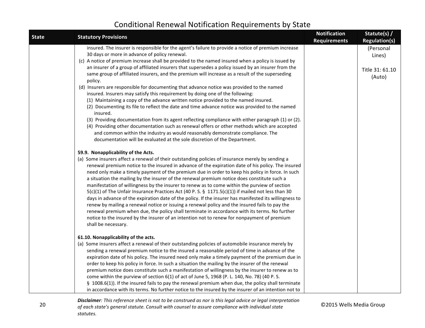| <b>State</b> | <b>Statutory Provisions</b>                                                                                                                                                                                                                                                                                                                                                                                                                                                                                                                                                                                                                                                                                                                                                                                                                                                                                                                                                                                                                                                                                                                                                                                                              | <b>Notification</b><br><b>Requirements</b> | Statute(s) /<br><b>Regulation(s)</b>             |
|--------------|------------------------------------------------------------------------------------------------------------------------------------------------------------------------------------------------------------------------------------------------------------------------------------------------------------------------------------------------------------------------------------------------------------------------------------------------------------------------------------------------------------------------------------------------------------------------------------------------------------------------------------------------------------------------------------------------------------------------------------------------------------------------------------------------------------------------------------------------------------------------------------------------------------------------------------------------------------------------------------------------------------------------------------------------------------------------------------------------------------------------------------------------------------------------------------------------------------------------------------------|--------------------------------------------|--------------------------------------------------|
|              | insured. The insurer is responsible for the agent's failure to provide a notice of premium increase<br>30 days or more in advance of policy renewal.<br>(c) A notice of premium increase shall be provided to the named insured when a policy is issued by<br>an insurer of a group of affiliated insurers that supersedes a policy issued by an insurer from the<br>same group of affiliated insurers, and the premium will increase as a result of the superseding<br>policy.<br>(d) Insurers are responsible for documenting that advance notice was provided to the named<br>insured. Insurers may satisfy this requirement by doing one of the following:<br>(1) Maintaining a copy of the advance written notice provided to the named insured.<br>(2) Documenting its file to reflect the date and time advance notice was provided to the named<br>insured.<br>(3) Providing documentation from its agent reflecting compliance with either paragraph (1) or (2).<br>(4) Providing other documentation such as renewal offers or other methods which are accepted<br>and common within the industry as would reasonably demonstrate compliance. The<br>documentation will be evaluated at the sole discretion of the Department. |                                            | (Personal<br>Lines)<br>Title 31: 61.10<br>(Auto) |
|              | 59.9. Nonapplicability of the Acts.<br>(a) Some insurers affect a renewal of their outstanding policies of insurance merely by sending a<br>renewal premium notice to the insured in advance of the expiration date of his policy. The insured<br>need only make a timely payment of the premium due in order to keep his policy in force. In such<br>a situation the mailing by the insurer of the renewal premium notice does constitute such a<br>manifestation of willingness by the insurer to renew as to come within the purview of section<br>$5(c)(1)$ of The Unfair Insurance Practices Act (40 P. S. § 1171.5(c)(1)) if mailed not less than 30<br>days in advance of the expiration date of the policy. If the insurer has manifested its willingness to<br>renew by mailing a renewal notice or issuing a renewal policy and the insured fails to pay the<br>renewal premium when due, the policy shall terminate in accordance with its terms. No further<br>notice to the insured by the insurer of an intention not to renew for nonpayment of premium<br>shall be necessary.                                                                                                                                            |                                            |                                                  |
|              | 61.10. Nonapplicability of the acts.<br>(a) Some insurers affect a renewal of their outstanding policies of automobile insurance merely by<br>sending a renewal premium notice to the insured a reasonable period of time in advance of the<br>expiration date of his policy. The insured need only make a timely payment of the premium due in<br>order to keep his policy in force. In such a situation the mailing by the insurer of the renewal<br>premium notice does constitute such a manifestation of willingness by the insurer to renew as to<br>come within the purview of section 6(1) of act of June 5, 1968 (P. L. 140, No. 78) (40 P. S.<br>§ 1008.6(1)). If the insured fails to pay the renewal premium when due, the policy shall terminate<br>in accordance with its terms. No further notice to the insured by the insurer of an intention not to                                                                                                                                                                                                                                                                                                                                                                    |                                            |                                                  |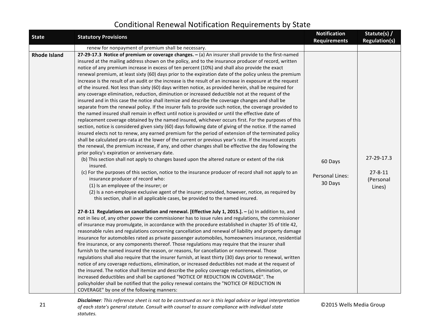| <b>State</b>        | <b>Statutory Provisions</b>                                                                                                                                                                                                                                                                                                                                                                                                                                                                                                                                                                                                                                                                                                                                                                                                                                                                                                                                                                                                                                                                                                                                                                                                                                                                                                                                                                                                                                                                                                                                                                                                                                                                                                                                                                                                                                                                                                                                                                                                                                                                                                                                                                                                                                                                                                                                                                                                                                                                                                                                                                                                                                                                                                                                                                                                                                                                                                                                                                                                                                                                                                                                                                                                                                                                                                                                                                                                                                                          | <b>Notification</b><br><b>Requirements</b> | Statute(s) /<br><b>Regulation(s)</b>               |
|---------------------|--------------------------------------------------------------------------------------------------------------------------------------------------------------------------------------------------------------------------------------------------------------------------------------------------------------------------------------------------------------------------------------------------------------------------------------------------------------------------------------------------------------------------------------------------------------------------------------------------------------------------------------------------------------------------------------------------------------------------------------------------------------------------------------------------------------------------------------------------------------------------------------------------------------------------------------------------------------------------------------------------------------------------------------------------------------------------------------------------------------------------------------------------------------------------------------------------------------------------------------------------------------------------------------------------------------------------------------------------------------------------------------------------------------------------------------------------------------------------------------------------------------------------------------------------------------------------------------------------------------------------------------------------------------------------------------------------------------------------------------------------------------------------------------------------------------------------------------------------------------------------------------------------------------------------------------------------------------------------------------------------------------------------------------------------------------------------------------------------------------------------------------------------------------------------------------------------------------------------------------------------------------------------------------------------------------------------------------------------------------------------------------------------------------------------------------------------------------------------------------------------------------------------------------------------------------------------------------------------------------------------------------------------------------------------------------------------------------------------------------------------------------------------------------------------------------------------------------------------------------------------------------------------------------------------------------------------------------------------------------------------------------------------------------------------------------------------------------------------------------------------------------------------------------------------------------------------------------------------------------------------------------------------------------------------------------------------------------------------------------------------------------------------------------------------------------------------------------------------------------|--------------------------------------------|----------------------------------------------------|
|                     | renew for nonpayment of premium shall be necessary.                                                                                                                                                                                                                                                                                                                                                                                                                                                                                                                                                                                                                                                                                                                                                                                                                                                                                                                                                                                                                                                                                                                                                                                                                                                                                                                                                                                                                                                                                                                                                                                                                                                                                                                                                                                                                                                                                                                                                                                                                                                                                                                                                                                                                                                                                                                                                                                                                                                                                                                                                                                                                                                                                                                                                                                                                                                                                                                                                                                                                                                                                                                                                                                                                                                                                                                                                                                                                                  |                                            |                                                    |
| <b>Rhode Island</b> | 27-29-17.3 Notice of premium or coverage changes. - (a) An insurer shall provide to the first-named<br>insured at the mailing address shown on the policy, and to the insurance producer of record, written<br>notice of any premium increase in excess of ten percent (10%) and shall also provide the exact<br>renewal premium, at least sixty (60) days prior to the expiration date of the policy unless the premium<br>increase is the result of an audit or the increase is the result of an increase in exposure at the request<br>of the insured. Not less than sixty (60) days written notice, as provided herein, shall be required for<br>any coverage elimination, reduction, diminution or increased deductible not at the request of the<br>insured and in this case the notice shall itemize and describe the coverage changes and shall be<br>separate from the renewal policy. If the insurer fails to provide such notice, the coverage provided to<br>the named insured shall remain in effect until notice is provided or until the effective date of<br>replacement coverage obtained by the named insured, whichever occurs first. For the purposes of this<br>section, notice is considered given sixty (60) days following date of giving of the notice. If the named<br>insured elects not to renew, any earned premium for the period of extension of the terminated policy<br>shall be calculated pro-rata at the lower of the current or previous year's rate. If the insured accepts<br>the renewal, the premium increase, if any, and other changes shall be effective the day following the<br>prior policy's expiration or anniversary date.<br>(b) This section shall not apply to changes based upon the altered nature or extent of the risk<br>insured.<br>(c) For the purposes of this section, notice to the insurance producer of record shall not apply to an<br>insurance producer of record who:<br>(1) Is an employee of the insurer; or<br>(2) Is a non-employee exclusive agent of the insurer; provided, however, notice, as required by<br>this section, shall in all applicable cases, be provided to the named insured.<br>27-8-11 Regulations on cancellation and renewal. [Effective July 1, 2015.]. - (a) In addition to, and<br>not in lieu of, any other power the commissioner has to issue rules and regulations, the commissioner<br>of insurance may promulgate, in accordance with the procedure established in chapter 35 of title 42,<br>reasonable rules and regulations concerning cancellation and renewal of liability and property damage<br>insurance for automobiles rated as private passenger automobiles, homeowners insurance, residential<br>fire insurance, or any components thereof. Those regulations may require that the insurer shall<br>furnish to the named insured the reason, or reasons, for cancellation or nonrenewal. Those<br>regulations shall also require that the insurer furnish, at least thirty (30) days prior to renewal, written<br>notice of any coverage reductions, elimination, or increased deductibles not made at the request of<br>the insured. The notice shall itemize and describe the policy coverage reductions, elimination, or<br>increased deductibles and shall be captioned "NOTICE OF REDUCTION IN COVERAGE". The<br>policyholder shall be notified that the policy renewal contains the "NOTICE OF REDUCTION IN<br>COVERAGE" by one of the following manners: | 60 Days<br>Personal Lines:<br>30 Days      | 27-29-17.3<br>$27 - 8 - 11$<br>(Personal<br>Lines) |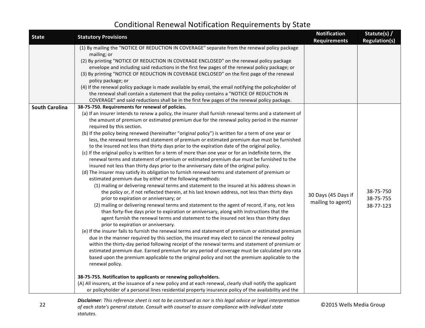| <b>State</b>          | <b>Statutory Provisions</b>                                                                                                                                                                                                                                                                                                                                                                                                                                                                                                                                                                                                                                                                                                                                                                                                                                                                                                                                                                                                                                                                                                                                                                                                                                                                                                                                                                                                                                                                                                                                                                                                                                                                                                                                                                                                                                                                                                                                                                                                                                                                                                                                                                                                                                                                                                                                                                                                                                          | <b>Notification</b><br><b>Requirements</b> | Statute(s) /<br><b>Regulation(s)</b> |
|-----------------------|----------------------------------------------------------------------------------------------------------------------------------------------------------------------------------------------------------------------------------------------------------------------------------------------------------------------------------------------------------------------------------------------------------------------------------------------------------------------------------------------------------------------------------------------------------------------------------------------------------------------------------------------------------------------------------------------------------------------------------------------------------------------------------------------------------------------------------------------------------------------------------------------------------------------------------------------------------------------------------------------------------------------------------------------------------------------------------------------------------------------------------------------------------------------------------------------------------------------------------------------------------------------------------------------------------------------------------------------------------------------------------------------------------------------------------------------------------------------------------------------------------------------------------------------------------------------------------------------------------------------------------------------------------------------------------------------------------------------------------------------------------------------------------------------------------------------------------------------------------------------------------------------------------------------------------------------------------------------------------------------------------------------------------------------------------------------------------------------------------------------------------------------------------------------------------------------------------------------------------------------------------------------------------------------------------------------------------------------------------------------------------------------------------------------------------------------------------------------|--------------------------------------------|--------------------------------------|
|                       | (1) By mailing the "NOTICE OF REDUCTION IN COVERAGE" separate from the renewal policy package<br>mailing; or<br>(2) By printing "NOTICE OF REDUCTION IN COVERAGE ENCLOSED" on the renewal policy package<br>envelope and including said reductions in the first few pages of the renewal policy package; or<br>(3) By printing "NOTICE OF REDUCTION IN COVERAGE ENCLOSED" on the first page of the renewal<br>policy package; or<br>(4) If the renewal policy package is made available by email, the email notifying the policyholder of<br>the renewal shall contain a statement that the policy contains a "NOTICE OF REDUCTION IN<br>COVERAGE" and said reductions shall be in the first few pages of the renewal policy package.                                                                                                                                                                                                                                                                                                                                                                                                                                                                                                                                                                                                                                                                                                                                                                                                                                                                                                                                                                                                                                                                                                                                                                                                                                                                                                                                                                                                                                                                                                                                                                                                                                                                                                                                |                                            |                                      |
| <b>South Carolina</b> | 38-75-750. Requirements for renewal of policies.<br>(a) If an insurer intends to renew a policy, the insurer shall furnish renewal terms and a statement of<br>the amount of premium or estimated premium due for the renewal policy period in the manner<br>required by this section.<br>(b) If the policy being renewed (hereinafter "original policy") is written for a term of one year or<br>less, the renewal terms and statement of premium or estimated premium due must be furnished<br>to the insured not less than thirty days prior to the expiration date of the original policy.<br>(c) If the original policy is written for a term of more than one year or for an indefinite term, the<br>renewal terms and statement of premium or estimated premium due must be furnished to the<br>insured not less than thirty days prior to the anniversary date of the original policy.<br>(d) The insurer may satisfy its obligation to furnish renewal terms and statement of premium or<br>estimated premium due by either of the following methods:<br>(1) mailing or delivering renewal terms and statement to the insured at his address shown in<br>the policy or, if not reflected therein, at his last known address, not less than thirty days<br>prior to expiration or anniversary; or<br>(2) mailing or delivering renewal terms and statement to the agent of record, if any, not less<br>than forty-five days prior to expiration or anniversary, along with instructions that the<br>agent furnish the renewal terms and statement to the insured not less than thirty days<br>prior to expiration or anniversary.<br>(e) If the insurer fails to furnish the renewal terms and statement of premium or estimated premium<br>due in the manner required by this section, the insured may elect to cancel the renewal policy<br>within the thirty-day period following receipt of the renewal terms and statement of premium or<br>estimated premium due. Earned premium for any period of coverage must be calculated pro rata<br>based upon the premium applicable to the original policy and not the premium applicable to the<br>renewal policy.<br>38-75-755. Notification to applicants or renewing policyholders.<br>(A) All insurers, at the issuance of a new policy and at each renewal, clearly shall notify the applicant<br>or policyholder of a personal lines residential property insurance policy of the availability and the | 30 Days (45 Days if<br>mailing to agent)   | 38-75-750<br>38-75-755<br>38-77-123  |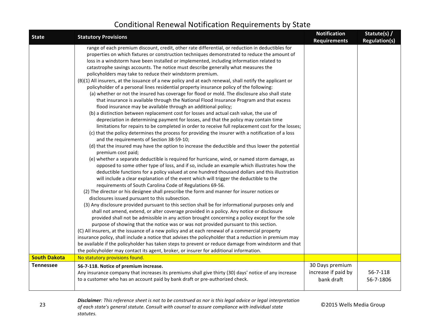| <b>State</b>        | <b>Statutory Provisions</b>                                                                                                                                                                                                                                                                                                                                                                                                                                                                                                                                                                                                                                                                                                                                                                                                                                                                                                                                                                                                                                                                                                                                                                                                                                                                                                                                                                                                                                                                                                                                                                                                                                                                                                                                                                                                                                                                                                                                                                                                                                                                                                                                                                                                                                                                                                                                                                                                                                                                                                                                                                                                                                                                                                                                                                                                                                                                                     | <b>Notification</b><br><b>Requirements</b>           | Statute(s) /<br><b>Regulation(s)</b> |
|---------------------|-----------------------------------------------------------------------------------------------------------------------------------------------------------------------------------------------------------------------------------------------------------------------------------------------------------------------------------------------------------------------------------------------------------------------------------------------------------------------------------------------------------------------------------------------------------------------------------------------------------------------------------------------------------------------------------------------------------------------------------------------------------------------------------------------------------------------------------------------------------------------------------------------------------------------------------------------------------------------------------------------------------------------------------------------------------------------------------------------------------------------------------------------------------------------------------------------------------------------------------------------------------------------------------------------------------------------------------------------------------------------------------------------------------------------------------------------------------------------------------------------------------------------------------------------------------------------------------------------------------------------------------------------------------------------------------------------------------------------------------------------------------------------------------------------------------------------------------------------------------------------------------------------------------------------------------------------------------------------------------------------------------------------------------------------------------------------------------------------------------------------------------------------------------------------------------------------------------------------------------------------------------------------------------------------------------------------------------------------------------------------------------------------------------------------------------------------------------------------------------------------------------------------------------------------------------------------------------------------------------------------------------------------------------------------------------------------------------------------------------------------------------------------------------------------------------------------------------------------------------------------------------------------------------------|------------------------------------------------------|--------------------------------------|
|                     | range of each premium discount, credit, other rate differential, or reduction in deductibles for<br>properties on which fixtures or construction techniques demonstrated to reduce the amount of<br>loss in a windstorm have been installed or implemented, including information related to<br>catastrophe savings accounts. The notice must describe generally what measures the<br>policyholders may take to reduce their windstorm premium.<br>(B)(1) All insurers, at the issuance of a new policy and at each renewal, shall notify the applicant or<br>policyholder of a personal lines residential property insurance policy of the following:<br>(a) whether or not the insured has coverage for flood or mold. The disclosure also shall state<br>that insurance is available through the National Flood Insurance Program and that excess<br>flood insurance may be available through an additional policy;<br>(b) a distinction between replacement cost for losses and actual cash value, the use of<br>depreciation in determining payment for losses, and that the policy may contain time<br>limitations for repairs to be completed in order to receive full replacement cost for the losses;<br>(c) that the policy determines the process for providing the insurer with a notification of a loss<br>and the requirements of Section 38-59-10;<br>(d) that the insured may have the option to increase the deductible and thus lower the potential<br>premium cost paid;<br>(e) whether a separate deductible is required for hurricane, wind, or named storm damage, as<br>opposed to some other type of loss, and if so, include an example which illustrates how the<br>deductible functions for a policy valued at one hundred thousand dollars and this illustration<br>will include a clear explanation of the event which will trigger the deductible to the<br>requirements of South Carolina Code of Regulations 69-56.<br>(2) The director or his designee shall prescribe the form and manner for insurer notices or<br>disclosures issued pursuant to this subsection.<br>(3) Any disclosure provided pursuant to this section shall be for informational purposes only and<br>shall not amend, extend, or alter coverage provided in a policy. Any notice or disclosure<br>provided shall not be admissible in any action brought concerning a policy except for the sole<br>purpose of showing that the notice was or was not provided pursuant to this section.<br>(C) All insurers, at the issuance of a new policy and at each renewal of a commercial property<br>insurance policy, shall include a notice that advises the policyholder that a reduction in premium may<br>be available if the policyholder has taken steps to prevent or reduce damage from windstorm and that<br>the policyholder may contact its agent, broker, or insurer for additional information. |                                                      |                                      |
| <b>South Dakota</b> | No statutory provisions found.                                                                                                                                                                                                                                                                                                                                                                                                                                                                                                                                                                                                                                                                                                                                                                                                                                                                                                                                                                                                                                                                                                                                                                                                                                                                                                                                                                                                                                                                                                                                                                                                                                                                                                                                                                                                                                                                                                                                                                                                                                                                                                                                                                                                                                                                                                                                                                                                                                                                                                                                                                                                                                                                                                                                                                                                                                                                                  |                                                      |                                      |
| <b>Tennessee</b>    | 56-7-118. Notice of premium increase.<br>Any insurance company that increases its premiums shall give thirty (30) days' notice of any increase<br>to a customer who has an account paid by bank draft or pre-authorized check.                                                                                                                                                                                                                                                                                                                                                                                                                                                                                                                                                                                                                                                                                                                                                                                                                                                                                                                                                                                                                                                                                                                                                                                                                                                                                                                                                                                                                                                                                                                                                                                                                                                                                                                                                                                                                                                                                                                                                                                                                                                                                                                                                                                                                                                                                                                                                                                                                                                                                                                                                                                                                                                                                  | 30 Days premium<br>increase if paid by<br>bank draft | 56-7-118<br>56-7-1806                |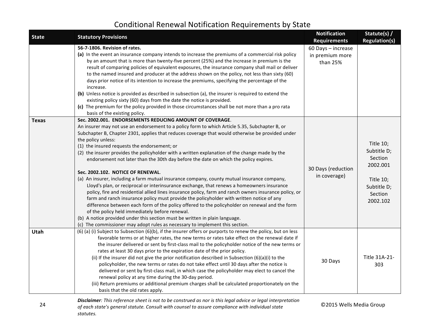| <b>State</b> | <b>Statutory Provisions</b>                                                                                                                                                                                                                                                                                                                                                                                                                                                                                                                                                                                                                                                                                                                                                                                                                                                                                                                                                                                                                                                                                                                                                                                                                                                               | <b>Notification</b><br><b>Requirements</b>        | Statute(s) /<br><b>Regulation(s)</b>                                                               |
|--------------|-------------------------------------------------------------------------------------------------------------------------------------------------------------------------------------------------------------------------------------------------------------------------------------------------------------------------------------------------------------------------------------------------------------------------------------------------------------------------------------------------------------------------------------------------------------------------------------------------------------------------------------------------------------------------------------------------------------------------------------------------------------------------------------------------------------------------------------------------------------------------------------------------------------------------------------------------------------------------------------------------------------------------------------------------------------------------------------------------------------------------------------------------------------------------------------------------------------------------------------------------------------------------------------------|---------------------------------------------------|----------------------------------------------------------------------------------------------------|
|              | 56-7-1806. Revision of rates.<br>(a) In the event an insurance company intends to increase the premiums of a commercial risk policy<br>by an amount that is more than twenty-five percent (25%) and the increase in premium is the<br>result of comparing policies of equivalent exposures, the insurance company shall mail or deliver<br>to the named insured and producer at the address shown on the policy, not less than sixty (60)<br>days prior notice of its intention to increase the premiums, specifying the percentage of the<br>increase.<br>(b) Unless notice is provided as described in subsection (a), the insurer is required to extend the<br>existing policy sixty (60) days from the date the notice is provided.<br>(c) The premium for the policy provided in those circumstances shall be not more than a pro rata<br>basis of the existing policy.                                                                                                                                                                                                                                                                                                                                                                                                              | 60 Days - increase<br>in premium more<br>than 25% |                                                                                                    |
| <b>Texas</b> | Sec. 2002.001. ENDORSEMENTS REDUCING AMOUNT OF COVERAGE.<br>An insurer may not use an endorsement to a policy form to which Article 5.35, Subchapter B, or<br>Subchapter B, Chapter 2301, applies that reduces coverage that would otherwise be provided under<br>the policy unless:<br>(1) the insured requests the endorsement; or<br>(2) the insurer provides the policyholder with a written explanation of the change made by the<br>endorsement not later than the 30th day before the date on which the policy expires.<br>Sec. 2002.102. NOTICE OF RENEWAL.<br>(a) An insurer, including a farm mutual insurance company, county mutual insurance company,<br>Lloyd's plan, or reciprocal or interinsurance exchange, that renews a homeowners insurance<br>policy, fire and residential allied lines insurance policy, farm and ranch owners insurance policy, or<br>farm and ranch insurance policy must provide the policyholder with written notice of any<br>difference between each form of the policy offered to the policyholder on renewal and the form<br>of the policy held immediately before renewal.<br>(b) A notice provided under this section must be written in plain language.<br>(c) The commissioner may adopt rules as necessary to implement this section. | 30 Days (reduction<br>in coverage)                | Title 10;<br>Subtitle D;<br>Section<br>2002.001<br>Title 10;<br>Subtitle D;<br>Section<br>2002.102 |
| Utah         | (6) (a) (i) Subject to Subsection (6)(b), if the insurer offers or purports to renew the policy, but on less<br>favorable terms or at higher rates, the new terms or rates take effect on the renewal date if<br>the insurer delivered or sent by first-class mail to the policyholder notice of the new terms or<br>rates at least 30 days prior to the expiration date of the prior policy.<br>(ii) If the insurer did not give the prior notification described in Subsection $(6)(a)(i)$ to the<br>policyholder, the new terms or rates do not take effect until 30 days after the notice is<br>delivered or sent by first-class mail, in which case the policyholder may elect to cancel the<br>renewal policy at any time during the 30-day period.<br>(iii) Return premiums or additional premium charges shall be calculated proportionately on the<br>basis that the old rates apply.                                                                                                                                                                                                                                                                                                                                                                                            | 30 Days                                           | Title 31A-21-<br>303                                                                               |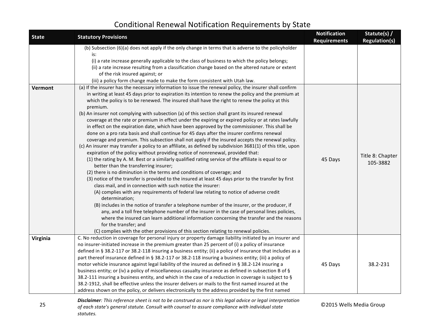| <b>State</b> | <b>Statutory Provisions</b>                                                                                                                                                                                                                                                                                                                                                                                                                                                                                                                                                                                                                                                                                                                                                                                                                                                                                                                                                                                                                                                                                                                                                                                                                                                                                                                                                                                                                                                                                                                                                                                                                                                                                                                                                                                                                                                                                                                                                    | <b>Notification</b><br><b>Requirements</b> | Statute(s) /<br><b>Regulation(s)</b> |
|--------------|--------------------------------------------------------------------------------------------------------------------------------------------------------------------------------------------------------------------------------------------------------------------------------------------------------------------------------------------------------------------------------------------------------------------------------------------------------------------------------------------------------------------------------------------------------------------------------------------------------------------------------------------------------------------------------------------------------------------------------------------------------------------------------------------------------------------------------------------------------------------------------------------------------------------------------------------------------------------------------------------------------------------------------------------------------------------------------------------------------------------------------------------------------------------------------------------------------------------------------------------------------------------------------------------------------------------------------------------------------------------------------------------------------------------------------------------------------------------------------------------------------------------------------------------------------------------------------------------------------------------------------------------------------------------------------------------------------------------------------------------------------------------------------------------------------------------------------------------------------------------------------------------------------------------------------------------------------------------------------|--------------------------------------------|--------------------------------------|
|              | (b) Subsection (6)(a) does not apply if the only change in terms that is adverse to the policyholder<br>is:<br>(i) a rate increase generally applicable to the class of business to which the policy belongs;<br>(ii) a rate increase resulting from a classification change based on the altered nature or extent<br>of the risk insured against; or<br>(iii) a policy form change made to make the form consistent with Utah law.                                                                                                                                                                                                                                                                                                                                                                                                                                                                                                                                                                                                                                                                                                                                                                                                                                                                                                                                                                                                                                                                                                                                                                                                                                                                                                                                                                                                                                                                                                                                            |                                            |                                      |
| Vermont      | (a) If the insurer has the necessary information to issue the renewal policy, the insurer shall confirm<br>in writing at least 45 days prior to expiration its intention to renew the policy and the premium at<br>which the policy is to be renewed. The insured shall have the right to renew the policy at this<br>premium.<br>(b) An insurer not complying with subsection (a) of this section shall grant its insured renewal<br>coverage at the rate or premium in effect under the expiring or expired policy or at rates lawfully<br>in effect on the expiration date, which have been approved by the commissioner. This shall be<br>done on a pro rata basis and shall continue for 45 days after the insurer confirms renewal<br>coverage and premium. This subsection shall not apply if the insured accepts the renewal policy.<br>(c) An insurer may transfer a policy to an affiliate, as defined by subdivision 3681(1) of this title, upon<br>expiration of the policy without providing notice of nonrenewal, provided that:<br>(1) the rating by A. M. Best or a similarly qualified rating service of the affiliate is equal to or<br>better than the transferring insurer;<br>(2) there is no diminution in the terms and conditions of coverage; and<br>(3) notice of the transfer is provided to the insured at least 45 days prior to the transfer by first<br>class mail, and in connection with such notice the insurer:<br>(A) complies with any requirements of federal law relating to notice of adverse credit<br>determination;<br>(B) includes in the notice of transfer a telephone number of the insurer, or the producer, if<br>any, and a toll free telephone number of the insurer in the case of personal lines policies,<br>where the insured can learn additional information concerning the transfer and the reasons<br>for the transfer; and<br>(C) complies with the other provisions of this section relating to renewal policies. | 45 Days                                    | Title 8: Chapter<br>105-3882         |
| Virginia     | C. No reduction in coverage for personal injury or property damage liability initiated by an insurer and<br>no insurer-initiated increase in the premium greater than 25 percent of (i) a policy of insurance<br>defined in § 38.2-117 or 38.2-118 insuring a business entity; (ii) a policy of insurance that includes as a<br>part thereof insurance defined in § 38.2-117 or 38.2-118 insuring a business entity; (iii) a policy of<br>motor vehicle insurance against legal liability of the insured as defined in § 38.2-124 insuring a<br>business entity; or (iv) a policy of miscellaneous casualty insurance as defined in subsection B of §<br>38.2-111 insuring a business entity, and which in the case of a reduction in coverage is subject to §<br>38.2-1912, shall be effective unless the insurer delivers or mails to the first named insured at the<br>address shown on the policy, or delivers electronically to the address provided by the first named                                                                                                                                                                                                                                                                                                                                                                                                                                                                                                                                                                                                                                                                                                                                                                                                                                                                                                                                                                                                   | 45 Days                                    | 38.2-231                             |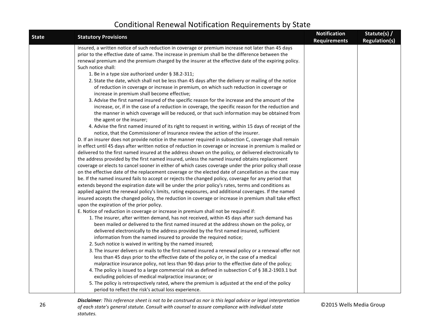| <b>State</b> | <b>Statutory Provisions</b>                                                                                                                                                                           | <b>Notification</b><br><b>Requirements</b> | Statute(s) /<br><b>Regulation(s)</b> |
|--------------|-------------------------------------------------------------------------------------------------------------------------------------------------------------------------------------------------------|--------------------------------------------|--------------------------------------|
|              | insured, a written notice of such reduction in coverage or premium increase not later than 45 days                                                                                                    |                                            |                                      |
|              | prior to the effective date of same. The increase in premium shall be the difference between the                                                                                                      |                                            |                                      |
|              | renewal premium and the premium charged by the insurer at the effective date of the expiring policy.                                                                                                  |                                            |                                      |
|              | Such notice shall:                                                                                                                                                                                    |                                            |                                      |
|              | 1. Be in a type size authorized under § 38.2-311;                                                                                                                                                     |                                            |                                      |
|              | 2. State the date, which shall not be less than 45 days after the delivery or mailing of the notice                                                                                                   |                                            |                                      |
|              | of reduction in coverage or increase in premium, on which such reduction in coverage or                                                                                                               |                                            |                                      |
|              | increase in premium shall become effective;                                                                                                                                                           |                                            |                                      |
|              | 3. Advise the first named insured of the specific reason for the increase and the amount of the<br>increase, or, if in the case of a reduction in coverage, the specific reason for the reduction and |                                            |                                      |
|              | the manner in which coverage will be reduced, or that such information may be obtained from                                                                                                           |                                            |                                      |
|              | the agent or the insurer;                                                                                                                                                                             |                                            |                                      |
|              | 4. Advise the first named insured of its right to request in writing, within 15 days of receipt of the                                                                                                |                                            |                                      |
|              | notice, that the Commissioner of Insurance review the action of the insurer.                                                                                                                          |                                            |                                      |
|              | D. If an insurer does not provide notice in the manner required in subsection C, coverage shall remain                                                                                                |                                            |                                      |
|              | in effect until 45 days after written notice of reduction in coverage or increase in premium is mailed or                                                                                             |                                            |                                      |
|              | delivered to the first named insured at the address shown on the policy, or delivered electronically to                                                                                               |                                            |                                      |
|              | the address provided by the first named insured, unless the named insured obtains replacement                                                                                                         |                                            |                                      |
|              | coverage or elects to cancel sooner in either of which cases coverage under the prior policy shall cease                                                                                              |                                            |                                      |
|              | on the effective date of the replacement coverage or the elected date of cancellation as the case may                                                                                                 |                                            |                                      |
|              | be. If the named insured fails to accept or rejects the changed policy, coverage for any period that                                                                                                  |                                            |                                      |
|              | extends beyond the expiration date will be under the prior policy's rates, terms and conditions as                                                                                                    |                                            |                                      |
|              | applied against the renewal policy's limits, rating exposures, and additional coverages. If the named                                                                                                 |                                            |                                      |
|              | insured accepts the changed policy, the reduction in coverage or increase in premium shall take effect                                                                                                |                                            |                                      |
|              | upon the expiration of the prior policy.                                                                                                                                                              |                                            |                                      |
|              | E. Notice of reduction in coverage or increase in premium shall not be required if:                                                                                                                   |                                            |                                      |
|              | 1. The insurer, after written demand, has not received, within 45 days after such demand has<br>been mailed or delivered to the first named insured at the address shown on the policy, or            |                                            |                                      |
|              | delivered electronically to the address provided by the first named insured, sufficient                                                                                                               |                                            |                                      |
|              | information from the named insured to provide the required notice;                                                                                                                                    |                                            |                                      |
|              | 2. Such notice is waived in writing by the named insured;                                                                                                                                             |                                            |                                      |
|              | 3. The insurer delivers or mails to the first named insured a renewal policy or a renewal offer not                                                                                                   |                                            |                                      |
|              | less than 45 days prior to the effective date of the policy or, in the case of a medical                                                                                                              |                                            |                                      |
|              | malpractice insurance policy, not less than 90 days prior to the effective date of the policy;                                                                                                        |                                            |                                      |
|              | 4. The policy is issued to a large commercial risk as defined in subsection C of § 38.2-1903.1 but                                                                                                    |                                            |                                      |
|              | excluding policies of medical malpractice insurance; or                                                                                                                                               |                                            |                                      |
|              | 5. The policy is retrospectively rated, where the premium is adjusted at the end of the policy                                                                                                        |                                            |                                      |
|              | period to reflect the risk's actual loss experience.                                                                                                                                                  |                                            |                                      |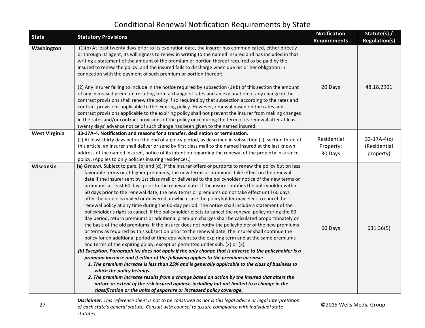| <b>State</b>         | <b>Statutory Provisions</b>                                                                                                                                                                                                                                                                                                                                                                                                                                                                                                                                                                                                                                                                                                                                                                                                                                                                                                                                                                                                                                                                                                                                                                                                                                                                                                                                                                                                                                                                                                                                                                                                                                                                                                                                                                                                                                                                                                                               | <b>Notification</b><br><b>Requirements</b> | Statute(s) /<br><b>Regulation(s)</b> |
|----------------------|-----------------------------------------------------------------------------------------------------------------------------------------------------------------------------------------------------------------------------------------------------------------------------------------------------------------------------------------------------------------------------------------------------------------------------------------------------------------------------------------------------------------------------------------------------------------------------------------------------------------------------------------------------------------------------------------------------------------------------------------------------------------------------------------------------------------------------------------------------------------------------------------------------------------------------------------------------------------------------------------------------------------------------------------------------------------------------------------------------------------------------------------------------------------------------------------------------------------------------------------------------------------------------------------------------------------------------------------------------------------------------------------------------------------------------------------------------------------------------------------------------------------------------------------------------------------------------------------------------------------------------------------------------------------------------------------------------------------------------------------------------------------------------------------------------------------------------------------------------------------------------------------------------------------------------------------------------------|--------------------------------------------|--------------------------------------|
| Washington           | (1)(b) At least twenty days prior to its expiration date, the insurer has communicated, either directly<br>or through its agent, its willingness to renew in writing to the named insured and has included in that<br>writing a statement of the amount of the premium or portion thereof required to be paid by the<br>insured to renew the policy, and the insured fails to discharge when due his or her obligation in<br>connection with the payment of such premium or portion thereof;                                                                                                                                                                                                                                                                                                                                                                                                                                                                                                                                                                                                                                                                                                                                                                                                                                                                                                                                                                                                                                                                                                                                                                                                                                                                                                                                                                                                                                                              |                                            |                                      |
|                      | (2) Any insurer failing to include in the notice required by subsection (1)(b) of this section the amount<br>of any increased premium resulting from a change of rates and an explanation of any change in the<br>contract provisions shall renew the policy if so required by that subsection according to the rates and<br>contract provisions applicable to the expiring policy. However, renewal based on the rates and<br>contract provisions applicable to the expiring policy shall not prevent the insurer from making changes<br>in the rates and/or contract provisions of the policy once during the term of its renewal after at least<br>twenty days' advance notice of such change has been given to the named insured.                                                                                                                                                                                                                                                                                                                                                                                                                                                                                                                                                                                                                                                                                                                                                                                                                                                                                                                                                                                                                                                                                                                                                                                                                     | 20 Days                                    | 48.18.2901                           |
| <b>West Virginia</b> | 33-17A-4. Notification and reasons for a transfer, declination or termination.                                                                                                                                                                                                                                                                                                                                                                                                                                                                                                                                                                                                                                                                                                                                                                                                                                                                                                                                                                                                                                                                                                                                                                                                                                                                                                                                                                                                                                                                                                                                                                                                                                                                                                                                                                                                                                                                            | Residential                                | $33-17A-4(c)$                        |
|                      | (c) At least thirty days before the end of a policy period, as described in subsection (c), section three of<br>this article, an insurer shall deliver or send by first class mail to the named insured at the last known                                                                                                                                                                                                                                                                                                                                                                                                                                                                                                                                                                                                                                                                                                                                                                                                                                                                                                                                                                                                                                                                                                                                                                                                                                                                                                                                                                                                                                                                                                                                                                                                                                                                                                                                 | Property:                                  | (Residential                         |
|                      | address of the named insured, notice of its intention regarding the renewal of the property insurance                                                                                                                                                                                                                                                                                                                                                                                                                                                                                                                                                                                                                                                                                                                                                                                                                                                                                                                                                                                                                                                                                                                                                                                                                                                                                                                                                                                                                                                                                                                                                                                                                                                                                                                                                                                                                                                     | 30 Days                                    | property)                            |
|                      | policy. (Applies to only policies insuring residences.)                                                                                                                                                                                                                                                                                                                                                                                                                                                                                                                                                                                                                                                                                                                                                                                                                                                                                                                                                                                                                                                                                                                                                                                                                                                                                                                                                                                                                                                                                                                                                                                                                                                                                                                                                                                                                                                                                                   |                                            |                                      |
| Wisconsin            | (a) General. Subject to pars. (b) and (d), if the insurer offers or purports to renew the policy but on less<br>favorable terms or at higher premiums, the new terms or premiums take effect on the renewal<br>date if the insurer sent by 1st class mail or delivered to the policyholder notice of the new terms or<br>premiums at least 60 days prior to the renewal date. If the insurer notifies the policyholder within<br>60 days prior to the renewal date, the new terms or premiums do not take effect until 60 days<br>after the notice is mailed or delivered, in which case the policyholder may elect to cancel the<br>renewal policy at any time during the 60-day period. The notice shall include a statement of the<br>policyholder's right to cancel. If the policyholder elects to cancel the renewal policy during the 60-<br>day period, return premiums or additional premium charges shall be calculated proportionately on<br>the basis of the old premiums. If the insurer does not notify the policyholder of the new premiums<br>or terms as required by this subsection prior to the renewal date, the insurer shall continue the<br>policy for an additional period of time equivalent to the expiring term and at the same premiums<br>and terms of the expiring policy, except as permitted under sub. (2) or (3).<br>(b) Exception. Paragraph (a) does not apply if the only change that is adverse to the policyholder is a<br>premium increase and if either of the following applies to the premium increase:<br>1. The premium increase is less than 25% and is generally applicable to the class of business to<br>which the policy belongs.<br>2. The premium increase results from a change based on action by the insured that alters the<br>nature or extent of the risk insured against, including but not limited to a change in the<br>classification or the units of exposure or increased policy coverage. | 60 Days                                    | 631.36(5)                            |